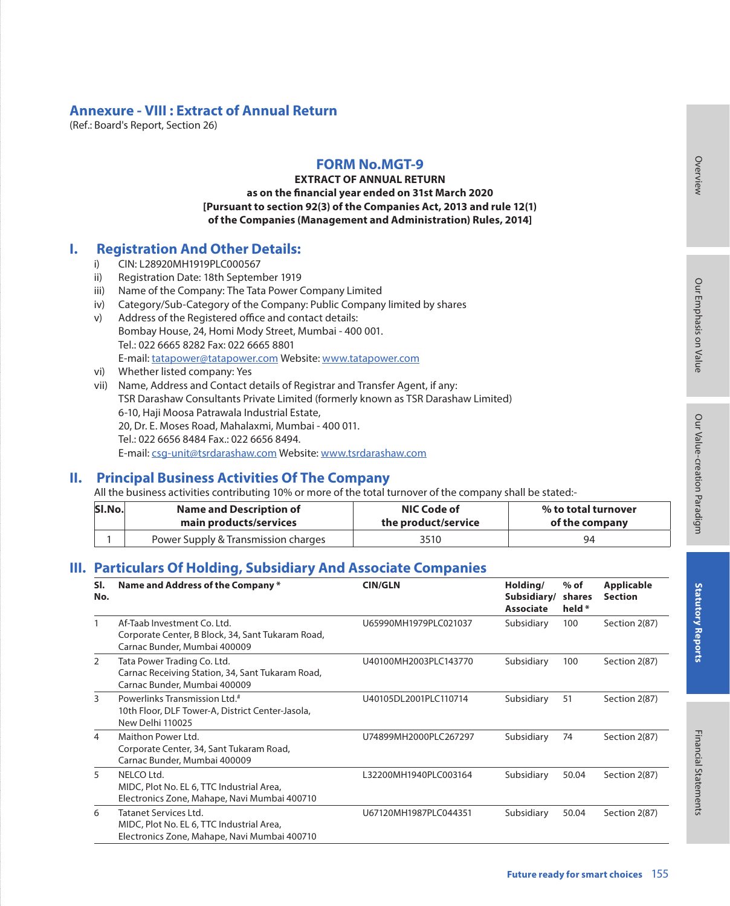### **Annexure - VIII : Extract of Annual Return**

(Ref.: Board's Report, Section 26)

### **FORM No.MGT-9**

**EXTRACT OF ANNUAL RETURN as on the financial year ended on 31st March 2020 [Pursuant to section 92(3) of the Companies Act, 2013 and rule 12(1) of the Companies (Management and Administration) Rules, 2014]**

#### **I. Registration And Other Details:**

- i) CIN: L28920MH1919PLC000567
- ii) Registration Date: 18th September 1919
- iii) Name of the Company: The Tata Power Company Limited
- iv) Category/Sub-Category of the Company: Public Company limited by shares
- v) Address of the Registered office and contact details: Bombay House, 24, Homi Mody Street, Mumbai - 400 001. Tel.: 022 6665 8282 Fax: 022 6665 8801 E-mail: [tatapower@tatapower.com](mailto:tatapower%40tatapower.com?subject=) Website: [www.tatapower.com](http://www.tatapower.com)
- vi) Whether listed company: Yes
- vii) Name, Address and Contact details of Registrar and Transfer Agent, if any: TSR Darashaw Consultants Private Limited (formerly known as TSR Darashaw Limited) 6-10, Haji Moosa Patrawala Industrial Estate, 20, Dr. E. Moses Road, Mahalaxmi, Mumbai - 400 011. Tel.: 022 6656 8484 Fax.: 022 6656 8494. E-mail: [csg-unit@tsrdarashaw.com](mailto:csg-unit%40tsrdarashaw.com?subject=) Website: [www.tsrdarashaw.com](http://www.tsrdarashaw.com)

#### **II. Principal Business Activities Of The Company**

All the business activities contributing 10% or more of the total turnover of the company shall be stated:-

| SI.No. | Name and Description of             | NIC Code of         | % to total turnover |
|--------|-------------------------------------|---------------------|---------------------|
|        | main products/services              | the product/service | of the company      |
|        | Power Supply & Transmission charges | 3510                | 94                  |

#### **III. Particulars Of Holding, Subsidiary And Associate Companies**

| SI.<br>No.     | Name and Address of the Company *                                                                                  | <b>CIN/GLN</b>        | Holding/<br>Subsidiary/<br><b>Associate</b> | $%$ of<br>shares<br>held * | <b>Applicable</b><br><b>Section</b> |
|----------------|--------------------------------------------------------------------------------------------------------------------|-----------------------|---------------------------------------------|----------------------------|-------------------------------------|
|                | Af-Taab Investment Co. Ltd.<br>Corporate Center, B Block, 34, Sant Tukaram Road,<br>Carnac Bunder, Mumbai 400009   | U65990MH1979PLC021037 | Subsidiary                                  | 100                        | Section 2(87)                       |
| 2              | Tata Power Trading Co. Ltd.<br>Carnac Receiving Station, 34, Sant Tukaram Road,<br>Carnac Bunder, Mumbai 400009    | U40100MH2003PLC143770 | Subsidiary                                  | 100                        | Section 2(87)                       |
| $\overline{3}$ | Powerlinks Transmission Ltd. <sup>#</sup><br>10th Floor, DLF Tower-A, District Center-Jasola,<br>New Delhi 110025  | U40105DL2001PLC110714 | Subsidiary                                  | 51                         | Section 2(87)                       |
| 4              | Maithon Power Ltd.<br>Corporate Center, 34, Sant Tukaram Road,<br>Carnac Bunder, Mumbai 400009                     | U74899MH2000PLC267297 | Subsidiary                                  | 74                         | Section 2(87)                       |
| 5              | NELCO Ltd.<br>MIDC, Plot No. EL 6, TTC Industrial Area,<br>Electronics Zone, Mahape, Navi Mumbai 400710            | L32200MH1940PLC003164 | Subsidiary                                  | 50.04                      | Section 2(87)                       |
| 6              | Tatanet Services Ltd.<br>MIDC, Plot No. EL 6, TTC Industrial Area,<br>Electronics Zone, Mahape, Navi Mumbai 400710 | U67120MH1987PLC044351 | Subsidiary                                  | 50.04                      | Section 2(87)                       |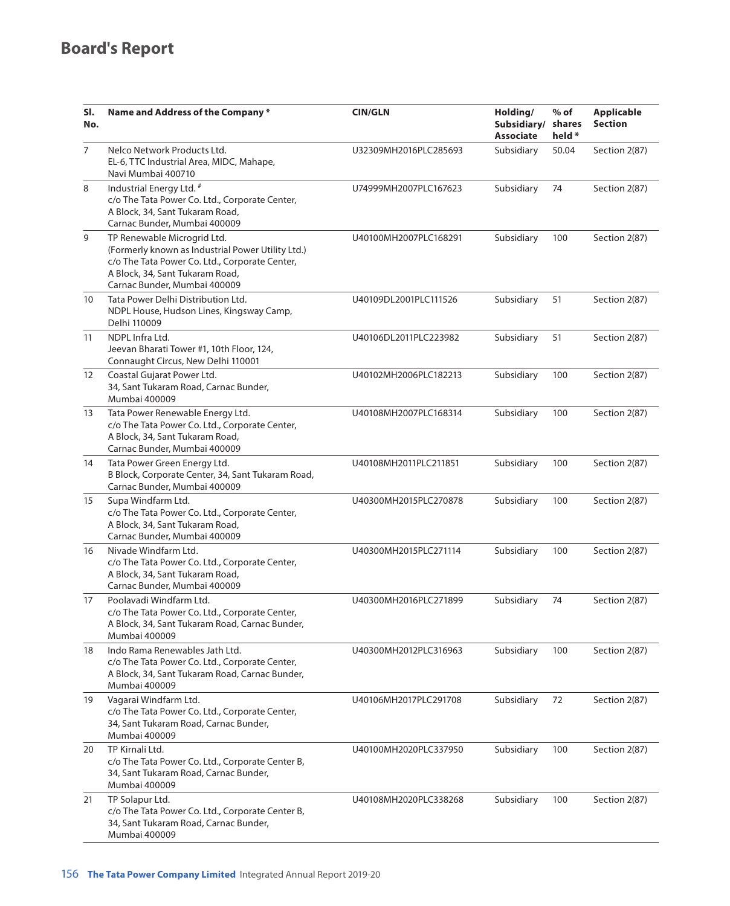| SI.<br>No. | Name and Address of the Company *                                                                                                                                                                     | <b>CIN/GLN</b>        | Holding/<br>Subsidiary/<br><b>Associate</b> | % of<br>shares<br>held * | <b>Applicable</b><br><b>Section</b> |  |
|------------|-------------------------------------------------------------------------------------------------------------------------------------------------------------------------------------------------------|-----------------------|---------------------------------------------|--------------------------|-------------------------------------|--|
| 7          | Nelco Network Products Ltd.<br>EL-6, TTC Industrial Area, MIDC, Mahape,<br>Navi Mumbai 400710                                                                                                         | U32309MH2016PLC285693 | Subsidiary                                  | 50.04                    | Section 2(87)                       |  |
| 8          | Industrial Energy Ltd. <sup>#</sup><br>c/o The Tata Power Co. Ltd., Corporate Center,<br>A Block, 34, Sant Tukaram Road,<br>Carnac Bunder, Mumbai 400009                                              | U74999MH2007PLC167623 | Subsidiary                                  | 74                       | Section 2(87)                       |  |
| 9          | TP Renewable Microgrid Ltd.<br>(Formerly known as Industrial Power Utility Ltd.)<br>c/o The Tata Power Co. Ltd., Corporate Center,<br>A Block, 34, Sant Tukaram Road,<br>Carnac Bunder, Mumbai 400009 | U40100MH2007PLC168291 | Subsidiary                                  | 100                      | Section 2(87)                       |  |
| 10         | Tata Power Delhi Distribution Ltd.<br>NDPL House, Hudson Lines, Kingsway Camp,<br>Delhi 110009                                                                                                        | U40109DL2001PLC111526 | Subsidiary                                  | 51                       | Section 2(87)                       |  |
| 11         | NDPL Infra Ltd.<br>Jeevan Bharati Tower #1, 10th Floor, 124,<br>Connaught Circus, New Delhi 110001                                                                                                    | U40106DL2011PLC223982 | Subsidiary                                  | 51                       | Section 2(87)                       |  |
| 12         | Coastal Gujarat Power Ltd.<br>34, Sant Tukaram Road, Carnac Bunder,<br>Mumbai 400009                                                                                                                  | U40102MH2006PLC182213 | Subsidiary                                  | 100                      | Section 2(87)                       |  |
| 13         | Tata Power Renewable Energy Ltd.<br>c/o The Tata Power Co. Ltd., Corporate Center,<br>A Block, 34, Sant Tukaram Road,<br>Carnac Bunder, Mumbai 400009                                                 | U40108MH2007PLC168314 | Subsidiary                                  | 100                      | Section 2(87)                       |  |
| 14         | Tata Power Green Energy Ltd.<br>B Block, Corporate Center, 34, Sant Tukaram Road,<br>Carnac Bunder, Mumbai 400009                                                                                     | U40108MH2011PLC211851 | Subsidiary                                  | 100                      | Section 2(87)                       |  |
| 15         | Supa Windfarm Ltd.<br>c/o The Tata Power Co. Ltd., Corporate Center,<br>A Block, 34, Sant Tukaram Road,<br>Carnac Bunder, Mumbai 400009                                                               | U40300MH2015PLC270878 | Subsidiary                                  | 100                      | Section 2(87)                       |  |
| 16         | Nivade Windfarm Ltd.<br>c/o The Tata Power Co. Ltd., Corporate Center,<br>A Block, 34, Sant Tukaram Road,<br>Carnac Bunder, Mumbai 400009                                                             | U40300MH2015PLC271114 | Subsidiary                                  | 100                      | Section 2(87)                       |  |
| 17         | Poolavadi Windfarm Ltd.<br>c/o The Tata Power Co. Ltd., Corporate Center,<br>A Block, 34, Sant Tukaram Road, Carnac Bunder,<br>Mumbai 400009                                                          | U40300MH2016PLC271899 | Subsidiary                                  | 74                       | Section 2(87)                       |  |
| 18         | Indo Rama Renewables Jath Ltd.<br>c/o The Tata Power Co. Ltd., Corporate Center,<br>A Block, 34, Sant Tukaram Road, Carnac Bunder,<br>Mumbai 400009                                                   | U40300MH2012PLC316963 | Subsidiary                                  | 100                      | Section 2(87)                       |  |
| 19         | Vagarai Windfarm Ltd.<br>c/o The Tata Power Co. Ltd., Corporate Center,<br>34, Sant Tukaram Road, Carnac Bunder,<br>Mumbai 400009                                                                     | U40106MH2017PLC291708 | Subsidiary                                  | 72                       | Section 2(87)                       |  |
| 20         | TP Kirnali Ltd.<br>c/o The Tata Power Co. Ltd., Corporate Center B,<br>34, Sant Tukaram Road, Carnac Bunder,<br>Mumbai 400009                                                                         | U40100MH2020PLC337950 | Subsidiary                                  | 100                      | Section 2(87)                       |  |
| 21         | TP Solapur Ltd.<br>c/o The Tata Power Co. Ltd., Corporate Center B,<br>34, Sant Tukaram Road, Carnac Bunder,<br>Mumbai 400009                                                                         | U40108MH2020PLC338268 | Subsidiary                                  | 100                      | Section 2(87)                       |  |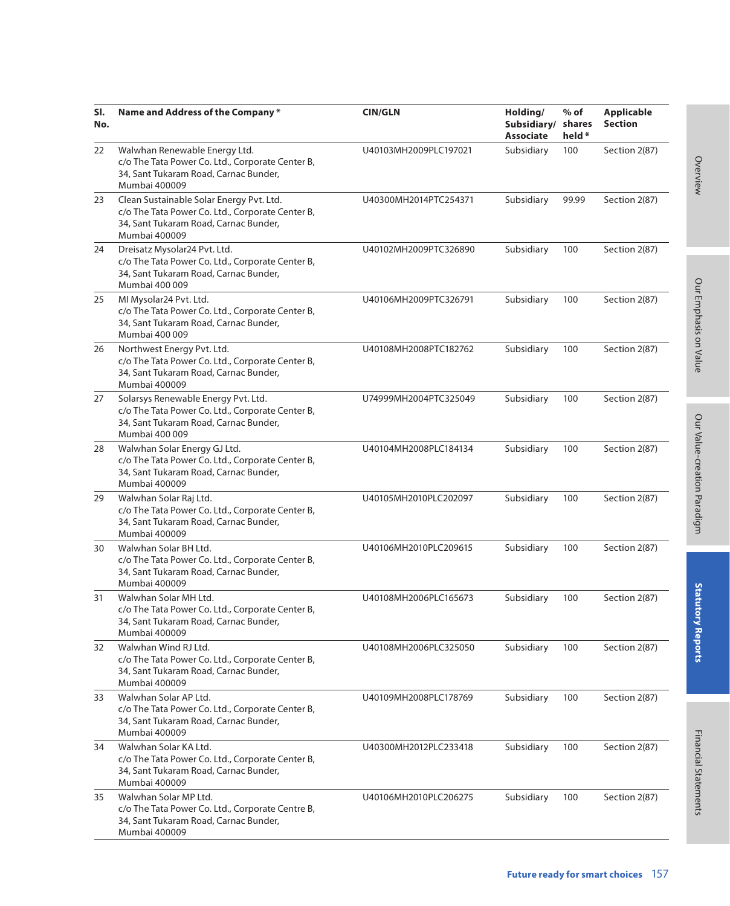| SI.<br>No. | Name and Address of the Company *                                                                                                                      | <b>CIN/GLN</b>        | Holding/<br>Subsidiary/<br><b>Associate</b> | $%$ of<br>shares<br>held * | <b>Applicable</b><br><b>Section</b> |
|------------|--------------------------------------------------------------------------------------------------------------------------------------------------------|-----------------------|---------------------------------------------|----------------------------|-------------------------------------|
| 22         | Walwhan Renewable Energy Ltd.<br>c/o The Tata Power Co. Ltd., Corporate Center B,<br>34, Sant Tukaram Road, Carnac Bunder,<br>Mumbai 400009            | U40103MH2009PLC197021 | Subsidiary                                  | 100                        | Section 2(87)                       |
| 23         | Clean Sustainable Solar Energy Pvt. Ltd.<br>c/o The Tata Power Co. Ltd., Corporate Center B,<br>34, Sant Tukaram Road, Carnac Bunder,<br>Mumbai 400009 | U40300MH2014PTC254371 | Subsidiary                                  | 99.99                      | Section 2(87)                       |
| 24         | Dreisatz Mysolar24 Pvt. Ltd.<br>c/o The Tata Power Co. Ltd., Corporate Center B,<br>34, Sant Tukaram Road, Carnac Bunder,<br>Mumbai 400 009            | U40102MH2009PTC326890 | Subsidiary                                  | 100                        | Section 2(87)                       |
| 25         | MI Mysolar24 Pvt. Ltd.<br>c/o The Tata Power Co. Ltd., Corporate Center B,<br>34, Sant Tukaram Road, Carnac Bunder,<br>Mumbai 400 009                  | U40106MH2009PTC326791 | Subsidiary                                  | 100                        | Section 2(87)                       |
| 26         | Northwest Energy Pvt. Ltd.<br>c/o The Tata Power Co. Ltd., Corporate Center B,<br>34, Sant Tukaram Road, Carnac Bunder,<br><b>Mumbai 400009</b>        | U40108MH2008PTC182762 | Subsidiary                                  | 100                        | Section 2(87)                       |
| 27         | Solarsys Renewable Energy Pvt. Ltd.<br>c/o The Tata Power Co. Ltd., Corporate Center B,<br>34, Sant Tukaram Road, Carnac Bunder,<br>Mumbai 400 009     | U74999MH2004PTC325049 | Subsidiary                                  | 100                        | Section 2(87)                       |
| 28         | Walwhan Solar Energy GJ Ltd.<br>c/o The Tata Power Co. Ltd., Corporate Center B,<br>34, Sant Tukaram Road, Carnac Bunder,<br><b>Mumbai 400009</b>      | U40104MH2008PLC184134 | Subsidiary                                  | 100                        | Section 2(87)                       |
| 29         | Walwhan Solar Raj Ltd.<br>c/o The Tata Power Co. Ltd., Corporate Center B,<br>34, Sant Tukaram Road, Carnac Bunder,<br><b>Mumbai 400009</b>            | U40105MH2010PLC202097 | Subsidiary                                  | 100                        | Section 2(87)                       |
| 30         | Walwhan Solar BH Ltd.<br>c/o The Tata Power Co. Ltd., Corporate Center B,<br>34, Sant Tukaram Road, Carnac Bunder,<br>Mumbai 400009                    | U40106MH2010PLC209615 | Subsidiary                                  | 100                        | Section 2(87)                       |
| 31         | Walwhan Solar MH Ltd.<br>c/o The Tata Power Co. Ltd., Corporate Center B,<br>34, Sant Tukaram Road, Carnac Bunder,<br>Mumbai 400009                    | U40108MH2006PLC165673 | Subsidiary                                  | 100                        | Section 2(87)                       |
| 32         | Walwhan Wind RJ Ltd.<br>c/o The Tata Power Co. Ltd., Corporate Center B,<br>34, Sant Tukaram Road, Carnac Bunder,<br>Mumbai 400009                     | U40108MH2006PLC325050 | Subsidiary                                  | 100                        | Section 2(87)                       |
| 33         | Walwhan Solar AP Ltd.<br>c/o The Tata Power Co. Ltd., Corporate Center B,<br>34, Sant Tukaram Road, Carnac Bunder,<br>Mumbai 400009                    | U40109MH2008PLC178769 | Subsidiary                                  | 100                        | Section 2(87)                       |
| 34         | Walwhan Solar KA Ltd.<br>c/o The Tata Power Co. Ltd., Corporate Center B,<br>34, Sant Tukaram Road, Carnac Bunder,<br>Mumbai 400009                    | U40300MH2012PLC233418 | Subsidiary                                  | 100                        | Section 2(87)                       |
| 35         | Walwhan Solar MP Ltd.<br>c/o The Tata Power Co. Ltd., Corporate Centre B,<br>34, Sant Tukaram Road, Carnac Bunder,<br>Mumbai 400009                    | U40106MH2010PLC206275 | Subsidiary                                  | 100                        | Section 2(87)                       |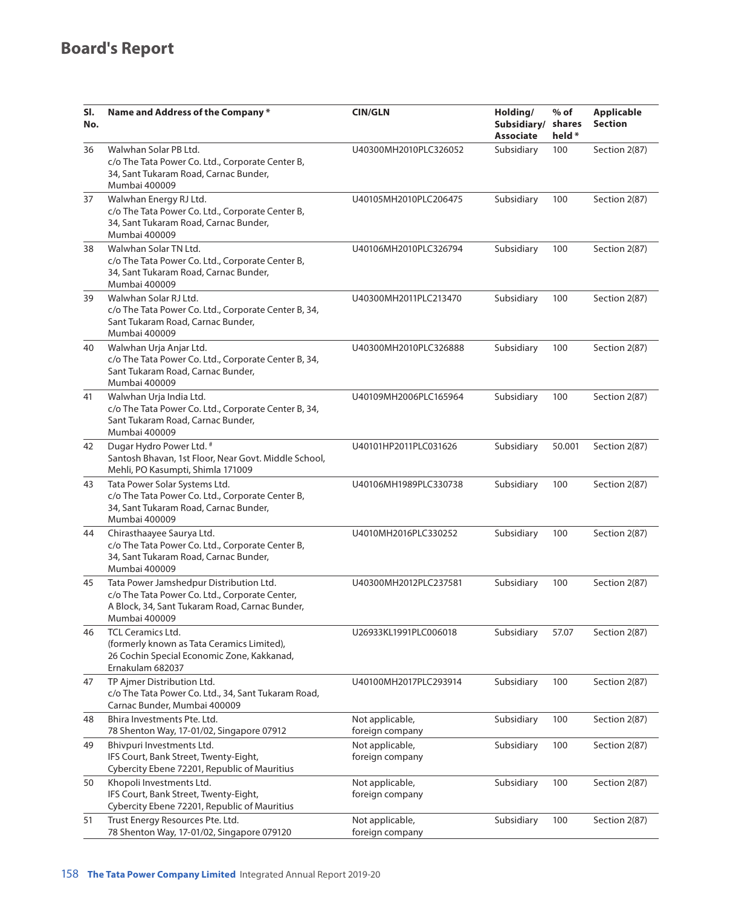| SI.<br>No. | Name and Address of the Company *                                                                                                                            | <b>CIN/GLN</b>                     | Holding/<br>Subsidiary/ shares<br><b>Associate</b> | % of<br>held * | <b>Applicable</b><br><b>Section</b> |
|------------|--------------------------------------------------------------------------------------------------------------------------------------------------------------|------------------------------------|----------------------------------------------------|----------------|-------------------------------------|
| 36         | Walwhan Solar PB Ltd.<br>c/o The Tata Power Co. Ltd., Corporate Center B,<br>34, Sant Tukaram Road, Carnac Bunder,<br>Mumbai 400009                          | U40300MH2010PLC326052              | Subsidiary                                         | 100            | Section 2(87)                       |
| 37         | Walwhan Energy RJ Ltd.<br>c/o The Tata Power Co. Ltd., Corporate Center B,<br>34, Sant Tukaram Road, Carnac Bunder,<br>Mumbai 400009                         | U40105MH2010PLC206475              | Subsidiary                                         | 100            | Section 2(87)                       |
| 38         | Walwhan Solar TN Ltd.<br>c/o The Tata Power Co. Ltd., Corporate Center B,<br>34, Sant Tukaram Road, Carnac Bunder,<br>Mumbai 400009                          | U40106MH2010PLC326794              | Subsidiary                                         | 100            | Section 2(87)                       |
| 39         | Walwhan Solar RJ Ltd.<br>c/o The Tata Power Co. Ltd., Corporate Center B, 34,<br>Sant Tukaram Road, Carnac Bunder,<br><b>Mumbai 400009</b>                   | U40300MH2011PLC213470              | Subsidiary                                         | 100            | Section 2(87)                       |
| 40         | Walwhan Urja Anjar Ltd.<br>c/o The Tata Power Co. Ltd., Corporate Center B, 34,<br>Sant Tukaram Road, Carnac Bunder,<br>Mumbai 400009                        | U40300MH2010PLC326888              | Subsidiary                                         | 100            | Section 2(87)                       |
| 41         | Walwhan Urja India Ltd.<br>c/o The Tata Power Co. Ltd., Corporate Center B, 34,<br>Sant Tukaram Road, Carnac Bunder,<br><b>Mumbai 400009</b>                 | U40109MH2006PLC165964              | Subsidiary                                         | 100            | Section 2(87)                       |
| 42         | Dugar Hydro Power Ltd. <sup>#</sup><br>Santosh Bhavan, 1st Floor, Near Govt. Middle School,<br>Mehli, PO Kasumpti, Shimla 171009                             | U40101HP2011PLC031626              | Subsidiary                                         | 50.001         | Section 2(87)                       |
| 43         | Tata Power Solar Systems Ltd.<br>c/o The Tata Power Co. Ltd., Corporate Center B,<br>34, Sant Tukaram Road, Carnac Bunder,<br>Mumbai 400009                  | U40106MH1989PLC330738              | Subsidiary                                         | 100            | Section 2(87)                       |
| 44         | Chirasthaayee Saurya Ltd.<br>c/o The Tata Power Co. Ltd., Corporate Center B,<br>34, Sant Tukaram Road, Carnac Bunder,<br>Mumbai 400009                      | U4010MH2016PLC330252               | Subsidiary                                         | 100            | Section 2(87)                       |
| 45         | Tata Power Jamshedpur Distribution Ltd.<br>c/o The Tata Power Co. Ltd., Corporate Center,<br>A Block, 34, Sant Tukaram Road, Carnac Bunder,<br>Mumbai 400009 | U40300MH2012PLC237581              | Subsidiary                                         | 100            | Section 2(87)                       |
| 46         | <b>TCL Ceramics Ltd.</b><br>(formerly known as Tata Ceramics Limited),<br>26 Cochin Special Economic Zone, Kakkanad,<br>Ernakulam 682037                     | U26933KL1991PLC006018              | Subsidiary                                         | 57.07          | Section 2(87)                       |
| 47         | TP Ajmer Distribution Ltd.<br>c/o The Tata Power Co. Ltd., 34, Sant Tukaram Road,<br>Carnac Bunder, Mumbai 400009                                            | U40100MH2017PLC293914              | Subsidiary                                         | 100            | Section 2(87)                       |
| 48         | Bhira Investments Pte. Ltd.<br>78 Shenton Way, 17-01/02, Singapore 07912                                                                                     | Not applicable,<br>foreign company | Subsidiary                                         | 100            | Section 2(87)                       |
| 49         | Bhivpuri Investments Ltd.<br>IFS Court, Bank Street, Twenty-Eight,<br>Cybercity Ebene 72201, Republic of Mauritius                                           | Not applicable,<br>foreign company | Subsidiary                                         | 100            | Section 2(87)                       |
| 50         | Khopoli Investments Ltd.<br>IFS Court, Bank Street, Twenty-Eight,<br>Cybercity Ebene 72201, Republic of Mauritius                                            | Not applicable,<br>foreign company | Subsidiary                                         | 100            | Section 2(87)                       |
| 51         | Trust Energy Resources Pte. Ltd.<br>78 Shenton Way, 17-01/02, Singapore 079120                                                                               | Not applicable,<br>foreign company | Subsidiary                                         | 100            | Section 2(87)                       |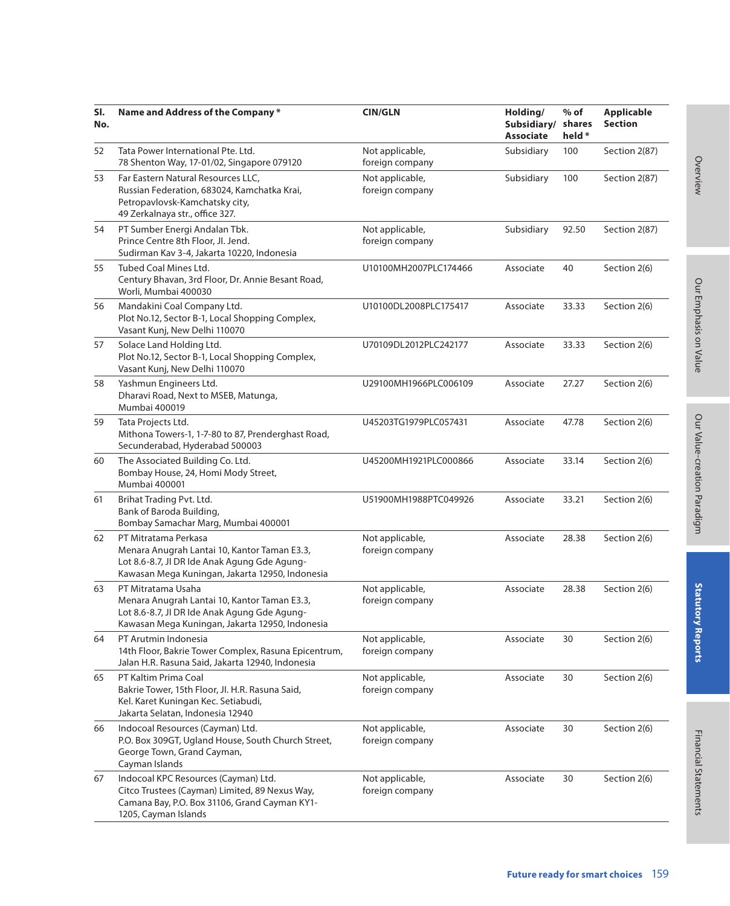| SI.<br>No. | Name and Address of the Company *                                                                                                                                       | <b>CIN/GLN</b>                     | Holding/<br>Subsidiary/<br><b>Associate</b> | $%$ of<br>shares<br>held * | <b>Applicable</b><br><b>Section</b> |
|------------|-------------------------------------------------------------------------------------------------------------------------------------------------------------------------|------------------------------------|---------------------------------------------|----------------------------|-------------------------------------|
| 52         | Tata Power International Pte. Ltd.<br>78 Shenton Way, 17-01/02, Singapore 079120                                                                                        | Not applicable,<br>foreign company | Subsidiary                                  | 100                        | Section 2(87)                       |
| 53         | Far Eastern Natural Resources LLC.<br>Russian Federation, 683024, Kamchatka Krai,<br>Petropavlovsk-Kamchatsky city,<br>49 Zerkalnaya str., office 327.                  | Not applicable,<br>foreign company | Subsidiary                                  | 100                        | Section 2(87)                       |
| 54         | PT Sumber Energi Andalan Tbk.<br>Prince Centre 8th Floor, Jl. Jend.<br>Sudirman Kav 3-4, Jakarta 10220, Indonesia                                                       | Not applicable,<br>foreign company | Subsidiary                                  | 92.50                      | Section 2(87)                       |
| 55         | <b>Tubed Coal Mines Ltd.</b><br>Century Bhavan, 3rd Floor, Dr. Annie Besant Road,<br>Worli, Mumbai 400030                                                               | U10100MH2007PLC174466              | Associate                                   | 40                         | Section 2(6)                        |
| 56         | Mandakini Coal Company Ltd.<br>Plot No.12, Sector B-1, Local Shopping Complex,<br>Vasant Kunj, New Delhi 110070                                                         | U10100DL2008PLC175417              | Associate                                   | 33.33                      | Section 2(6)                        |
| 57         | Solace Land Holding Ltd.<br>Plot No.12, Sector B-1, Local Shopping Complex,<br>Vasant Kunj, New Delhi 110070                                                            | U70109DL2012PLC242177              | Associate                                   | 33.33                      | Section 2(6)                        |
| 58         | Yashmun Engineers Ltd.<br>Dharavi Road, Next to MSEB, Matunga,<br><b>Mumbai 400019</b>                                                                                  | U29100MH1966PLC006109              | Associate                                   | 27.27                      | Section 2(6)                        |
| 59         | Tata Projects Ltd.<br>Mithona Towers-1, 1-7-80 to 87, Prenderghast Road,<br>Secunderabad, Hyderabad 500003                                                              | U45203TG1979PLC057431              | Associate                                   | 47.78                      | Section 2(6)                        |
| 60         | The Associated Building Co. Ltd.<br>Bombay House, 24, Homi Mody Street,<br><b>Mumbai 400001</b>                                                                         | U45200MH1921PLC000866              | Associate                                   | 33.14                      | Section 2(6)                        |
| 61         | Brihat Trading Pvt. Ltd.<br>Bank of Baroda Building,<br>Bombay Samachar Marg, Mumbai 400001                                                                             | U51900MH1988PTC049926              | Associate                                   | 33.21                      | Section 2(6)                        |
| 62         | PT Mitratama Perkasa<br>Menara Anugrah Lantai 10, Kantor Taman E3.3,<br>Lot 8.6-8.7, Jl DR Ide Anak Agung Gde Agung-<br>Kawasan Mega Kuningan, Jakarta 12950, Indonesia | Not applicable,<br>foreign company | Associate                                   | 28.38                      | Section 2(6)                        |
| 63         | PT Mitratama Usaha<br>Menara Anugrah Lantai 10, Kantor Taman E3.3,<br>Lot 8.6-8.7, Jl DR Ide Anak Agung Gde Agung-<br>Kawasan Mega Kuningan, Jakarta 12950, Indonesia   | Not applicable,<br>foreign company | Associate                                   | 28.38                      | Section 2(6)                        |
| 64         | PT Arutmin Indonesia<br>14th Floor, Bakrie Tower Complex, Rasuna Epicentrum,<br>Jalan H.R. Rasuna Said, Jakarta 12940, Indonesia                                        | Not applicable,<br>foreign company | Associate                                   | 30                         | Section 2(6)                        |
| 65         | PT Kaltim Prima Coal<br>Bakrie Tower, 15th Floor, Jl. H.R. Rasuna Said,<br>Kel. Karet Kuningan Kec. Setiabudi,<br>Jakarta Selatan, Indonesia 12940                      | Not applicable,<br>foreign company | Associate                                   | 30                         | Section 2(6)                        |
| 66         | Indocoal Resources (Cayman) Ltd.<br>P.O. Box 309GT, Ugland House, South Church Street,<br>George Town, Grand Cayman,<br>Cayman Islands                                  | Not applicable,<br>foreign company | Associate                                   | 30                         | Section 2(6)                        |
| 67         | Indocoal KPC Resources (Cayman) Ltd.<br>Citco Trustees (Cayman) Limited, 89 Nexus Way,<br>Camana Bay, P.O. Box 31106, Grand Cayman KY1-<br>1205, Cayman Islands         | Not applicable,<br>foreign company | Associate                                   | 30                         | Section 2(6)                        |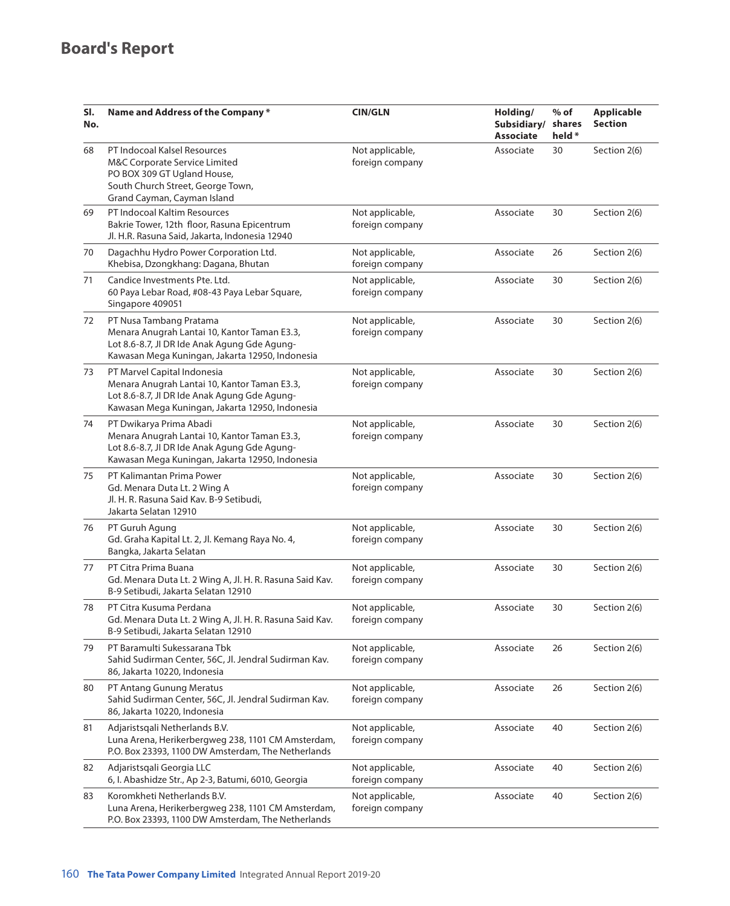| SI.<br>No. | Name and Address of the Company *                                                                                                                                              | <b>CIN/GLN</b><br>Holding/<br>Subsidiary/<br><b>Associate</b> |           | % of<br>shares<br>held * | <b>Applicable</b><br><b>Section</b> |
|------------|--------------------------------------------------------------------------------------------------------------------------------------------------------------------------------|---------------------------------------------------------------|-----------|--------------------------|-------------------------------------|
| 68         | PT Indocoal Kalsel Resources<br>M&C Corporate Service Limited<br>PO BOX 309 GT Ugland House,<br>South Church Street, George Town,<br>Grand Cayman, Cayman Island               | Not applicable,<br>foreign company                            | Associate | 30                       | Section 2(6)                        |
| 69         | PT Indocoal Kaltim Resources<br>Bakrie Tower, 12th floor, Rasuna Epicentrum<br>Jl. H.R. Rasuna Said, Jakarta, Indonesia 12940                                                  | Not applicable,<br>foreign company                            | Associate | 30                       | Section 2(6)                        |
| 70         | Dagachhu Hydro Power Corporation Ltd.<br>Khebisa, Dzongkhang: Dagana, Bhutan                                                                                                   | Not applicable,<br>foreign company                            | Associate | 26                       | Section 2(6)                        |
| 71         | Candice Investments Pte. Ltd.<br>60 Paya Lebar Road, #08-43 Paya Lebar Square,<br>Singapore 409051                                                                             | Not applicable,<br>foreign company                            | Associate | 30                       | Section 2(6)                        |
| 72         | PT Nusa Tambang Pratama<br>Menara Anugrah Lantai 10, Kantor Taman E3.3,<br>Lot 8.6-8.7, Jl DR Ide Anak Agung Gde Agung-<br>Kawasan Mega Kuningan, Jakarta 12950, Indonesia     | Not applicable,<br>foreign company                            | Associate | 30                       | Section 2(6)                        |
| 73         | PT Marvel Capital Indonesia<br>Menara Anugrah Lantai 10, Kantor Taman E3.3,<br>Lot 8.6-8.7, Jl DR Ide Anak Agung Gde Agung-<br>Kawasan Mega Kuningan, Jakarta 12950, Indonesia | Not applicable,<br>foreign company                            | Associate | 30                       | Section 2(6)                        |
| 74         | PT Dwikarya Prima Abadi<br>Menara Anugrah Lantai 10, Kantor Taman E3.3,<br>Lot 8.6-8.7, Jl DR Ide Anak Agung Gde Agung-<br>Kawasan Mega Kuningan, Jakarta 12950, Indonesia     | Not applicable,<br>foreign company                            | Associate | 30                       | Section 2(6)                        |
| 75         | PT Kalimantan Prima Power<br>Gd. Menara Duta Lt. 2 Wing A<br>Jl. H. R. Rasuna Said Kav. B-9 Setibudi,<br>Jakarta Selatan 12910                                                 | Not applicable,<br>foreign company                            | Associate | 30                       | Section 2(6)                        |
| 76         | PT Guruh Agung<br>Gd. Graha Kapital Lt. 2, Jl. Kemang Raya No. 4,<br>Bangka, Jakarta Selatan                                                                                   | Not applicable,<br>foreign company                            | Associate | 30                       | Section 2(6)                        |
| 77         | PT Citra Prima Buana<br>Gd. Menara Duta Lt. 2 Wing A, Jl. H. R. Rasuna Said Kav.<br>B-9 Setibudi, Jakarta Selatan 12910                                                        | Not applicable,<br>foreign company                            | Associate | 30                       | Section 2(6)                        |
| 78         | PT Citra Kusuma Perdana<br>Gd. Menara Duta Lt. 2 Wing A, Jl. H. R. Rasuna Said Kav.<br>B-9 Setibudi, Jakarta Selatan 12910                                                     | Not applicable,<br>foreign company                            | Associate | 30                       | Section 2(6)                        |
| 79         | PT Baramulti Sukessarana Tbk<br>Sahid Sudirman Center, 56C, Jl. Jendral Sudirman Kav.<br>86, Jakarta 10220, Indonesia                                                          | Not applicable,<br>foreign company                            | Associate | 26                       | Section 2(6)                        |
| 80         | PT Antang Gunung Meratus<br>Sahid Sudirman Center, 56C, Jl. Jendral Sudirman Kav.<br>86, Jakarta 10220, Indonesia                                                              | Not applicable,<br>foreign company                            | Associate | 26                       | Section 2(6)                        |
| 81         | Adjaristsqali Netherlands B.V.<br>Luna Arena, Herikerbergweg 238, 1101 CM Amsterdam,<br>P.O. Box 23393, 1100 DW Amsterdam, The Netherlands                                     | Not applicable,<br>foreign company                            | Associate | 40                       | Section 2(6)                        |
| 82         | Adjaristsgali Georgia LLC<br>6, I. Abashidze Str., Ap 2-3, Batumi, 6010, Georgia                                                                                               | Not applicable,<br>foreign company                            | Associate | 40                       | Section 2(6)                        |
| 83         | Koromkheti Netherlands B.V.<br>Luna Arena, Herikerbergweg 238, 1101 CM Amsterdam,<br>P.O. Box 23393, 1100 DW Amsterdam, The Netherlands                                        | Not applicable,<br>foreign company                            | Associate | 40                       | Section 2(6)                        |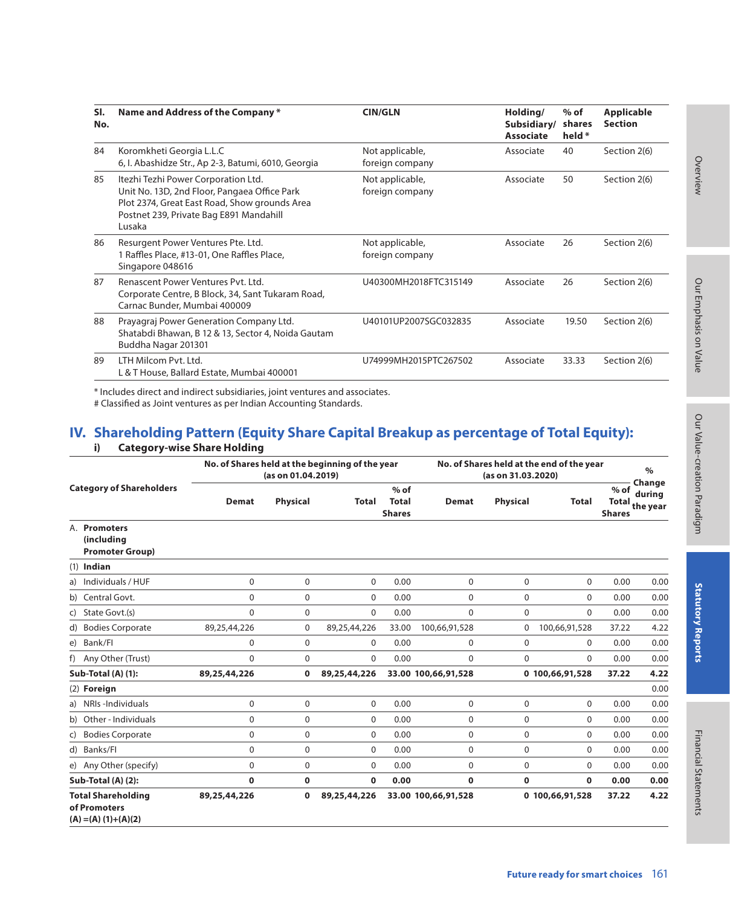| SI.<br>No. | Name and Address of the Company *                                                                                                                                                         | <b>CIN/GLN</b>                     | Holding/<br>Subsidiary/<br><b>Associate</b> | $%$ of<br>shares<br>held * | <b>Applicable</b><br><b>Section</b> |
|------------|-------------------------------------------------------------------------------------------------------------------------------------------------------------------------------------------|------------------------------------|---------------------------------------------|----------------------------|-------------------------------------|
| 84         | Koromkheti Georgia L.L.C<br>6, I. Abashidze Str., Ap 2-3, Batumi, 6010, Georgia                                                                                                           | Not applicable,<br>foreign company | Associate                                   | 40                         | Section 2(6)                        |
| 85         | Itezhi Tezhi Power Corporation Ltd.<br>Unit No. 13D, 2nd Floor, Pangaea Office Park<br>Plot 2374, Great East Road, Show grounds Area<br>Postnet 239, Private Bag E891 Mandahill<br>Lusaka | Not applicable,<br>foreign company | Associate                                   | 50                         | Section 2(6)                        |
| 86         | Resurgent Power Ventures Pte. Ltd.<br>1 Raffles Place, #13-01, One Raffles Place,<br>Singapore 048616                                                                                     | Not applicable,<br>foreign company | Associate                                   | 26                         | Section 2(6)                        |
| 87         | Renascent Power Ventures Pyt. Ltd.<br>Corporate Centre, B Block, 34, Sant Tukaram Road,<br>Carnac Bunder, Mumbai 400009                                                                   | U40300MH2018FTC315149              | Associate                                   | 26                         | Section 2(6)                        |
| 88         | Prayagraj Power Generation Company Ltd.<br>Shatabdi Bhawan, B 12 & 13, Sector 4, Noida Gautam<br>Buddha Nagar 201301                                                                      | U40101UP2007SGC032835              | Associate                                   | 19.50                      | Section 2(6)                        |
| 89         | LTH Milcom Pvt. Ltd.<br>L & T House, Ballard Estate, Mumbai 400001                                                                                                                        | U74999MH2015PTC267502              | Associate                                   | 33.33                      | Section 2(6)                        |

\* Includes direct and indirect subsidiaries, joint ventures and associates.

# Classified as Joint ventures as per Indian Accounting Standards.

### **IV. Shareholding Pattern (Equity Share Capital Breakup as percentage of Total Equity):**

#### **i) Category-wise Share Holding**

|                                 |                                                                     |              | (as on 01.04.2019) | No. of Shares held at the beginning of the year |                                         |                     | No. of Shares held at the end of the year<br>(as on 31.03.2020) |                 | $\%$                    |                                                |
|---------------------------------|---------------------------------------------------------------------|--------------|--------------------|-------------------------------------------------|-----------------------------------------|---------------------|-----------------------------------------------------------------|-----------------|-------------------------|------------------------------------------------|
| <b>Category of Shareholders</b> |                                                                     | <b>Demat</b> | <b>Physical</b>    | Total                                           | $%$ of<br><b>Total</b><br><b>Shares</b> | <b>Demat</b>        | <b>Physical</b>                                                 | <b>Total</b>    | $%$ of<br><b>Shares</b> | Change<br>during<br>Total $_{\rm the \, year}$ |
|                                 | A. Promoters<br>(including<br><b>Promoter Group)</b>                |              |                    |                                                 |                                         |                     |                                                                 |                 |                         |                                                |
|                                 | $(1)$ Indian                                                        |              |                    |                                                 |                                         |                     |                                                                 |                 |                         |                                                |
|                                 | a) Individuals / HUF                                                | $\mathbf 0$  | $\mathbf 0$        | $\mathbf 0$                                     | 0.00                                    | $\Omega$            | 0                                                               | $\mathbf 0$     | 0.00                    | 0.00                                           |
|                                 | b) Central Govt.                                                    | $\mathbf 0$  | $\mathbf 0$        | $\Omega$                                        | 0.00                                    | $\Omega$            | $\mathbf 0$                                                     | $\mathbf 0$     | 0.00                    | 0.00                                           |
|                                 | c) State Govt.(s)                                                   | $\mathbf 0$  | $\mathbf 0$        | $\mathbf 0$                                     | 0.00                                    | $\mathbf 0$         | $\mathbf 0$                                                     | $\mathbf 0$     | 0.00                    | 0.00                                           |
|                                 | d) Bodies Corporate                                                 | 89,25,44,226 | 0                  | 89,25,44,226                                    | 33.00                                   | 100,66,91,528       | 0                                                               | 100,66,91,528   | 37.22                   | 4.22                                           |
|                                 | e) Bank/Fl                                                          | $\mathbf 0$  | $\mathbf 0$        | $\mathbf 0$                                     | 0.00                                    | $\mathbf 0$         | $\mathbf 0$                                                     | 0               | 0.00                    | 0.00                                           |
|                                 | f) Any Other (Trust)                                                | $\mathbf 0$  | $\mathbf 0$        | $\Omega$                                        | 0.00                                    | $\Omega$            | $\mathbf 0$                                                     | $\mathbf 0$     | 0.00                    | 0.00                                           |
|                                 | <b>Sub-Total (A) (1):</b>                                           | 89,25,44,226 | 0                  | 89,25,44,226                                    |                                         | 33.00 100,66,91,528 |                                                                 | 0 100,66,91,528 | 37.22                   | 4.22                                           |
|                                 | (2) Foreign                                                         |              |                    |                                                 |                                         |                     |                                                                 |                 |                         | 0.00                                           |
|                                 | a) NRIs-Individuals                                                 | $\pmb{0}$    | $\mathbf 0$        | $\mathbf 0$                                     | 0.00                                    | $\mathbf 0$         | 0                                                               | 0               | 0.00                    | 0.00                                           |
|                                 | b) Other - Individuals                                              | $\pmb{0}$    | $\mathbf{0}$       | $\Omega$                                        | 0.00                                    | $\mathbf 0$         | $\mathbf 0$                                                     | $\mathbf 0$     | 0.00                    | 0.00                                           |
|                                 | c) Bodies Corporate                                                 | $\mathbf 0$  | 0                  | $\Omega$                                        | 0.00                                    | $\Omega$            | $\mathbf 0$                                                     | 0               | 0.00                    | 0.00                                           |
|                                 | d) Banks/Fl                                                         | $\mathbf 0$  | $\mathbf{0}$       | $\Omega$                                        | 0.00                                    | $\Omega$            | 0                                                               | $\Omega$        | 0.00                    | 0.00                                           |
|                                 | e) Any Other (specify)                                              | $\mathbf 0$  | $\mathbf 0$        | $\Omega$                                        | 0.00                                    | $\Omega$            | $\mathbf 0$                                                     | $\mathbf 0$     | 0.00                    | 0.00                                           |
|                                 | <b>Sub-Total (A) (2):</b>                                           | $\mathbf 0$  | $\mathbf 0$        | 0                                               | 0.00                                    | 0                   | 0                                                               | 0               | 0.00                    | 0.00                                           |
|                                 | <b>Total Shareholding</b><br>of Promoters<br>$(A) = (A) (1)+(A)(2)$ | 89,25,44,226 | $\mathbf 0$        | 89,25,44,226                                    |                                         | 33.00 100,66,91,528 |                                                                 | 0 100,66,91,528 | 37.22                   | 4.22                                           |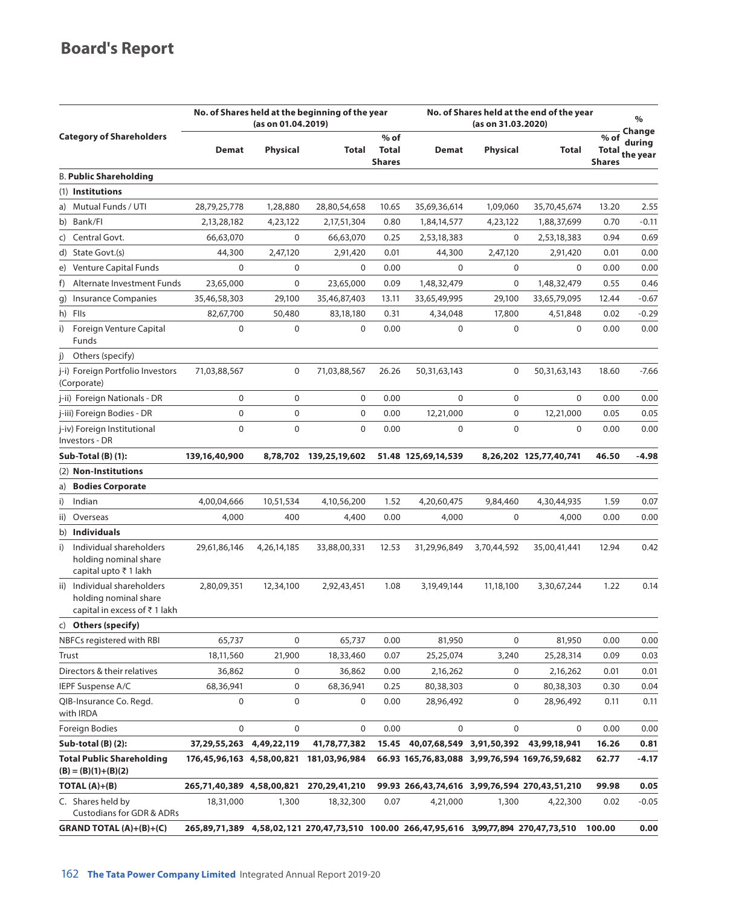|                                                                                      |               | (as on 01.04.2019)       | No. of Shares held at the beginning of the year                                               |                                         | No. of Shares held at the end of the year<br>(as on 31.03.2020) |             |                                       |                         | %<br>Change              |
|--------------------------------------------------------------------------------------|---------------|--------------------------|-----------------------------------------------------------------------------------------------|-----------------------------------------|-----------------------------------------------------------------|-------------|---------------------------------------|-------------------------|--------------------------|
| <b>Category of Shareholders</b>                                                      | <b>Demat</b>  | Physical                 | Total                                                                                         | $%$ of<br><b>Total</b><br><b>Shares</b> | Demat                                                           | Physical    | Total                                 | $%$ of<br><b>Shares</b> | during<br>Total the year |
| <b>B. Public Shareholding</b>                                                        |               |                          |                                                                                               |                                         |                                                                 |             |                                       |                         |                          |
| (1) Institutions                                                                     |               |                          |                                                                                               |                                         |                                                                 |             |                                       |                         |                          |
| Mutual Funds / UTI<br>a)                                                             | 28,79,25,778  | 1,28,880                 | 28,80,54,658                                                                                  | 10.65                                   | 35,69,36,614                                                    | 1,09,060    | 35,70,45,674                          | 13.20                   | 2.55                     |
| Bank/Fl<br>b)                                                                        | 2,13,28,182   | 4,23,122                 | 2,17,51,304                                                                                   | 0.80                                    | 1,84,14,577                                                     | 4,23,122    | 1,88,37,699                           | 0.70                    | $-0.11$                  |
| Central Govt.<br>C)                                                                  | 66,63,070     | $\mathbf 0$              | 66,63,070                                                                                     | 0.25                                    | 2,53,18,383                                                     | $\mathbf 0$ | 2,53,18,383                           | 0.94                    | 0.69                     |
| d) State Govt.(s)                                                                    | 44,300        | 2,47,120                 | 2,91,420                                                                                      | 0.01                                    | 44,300                                                          | 2,47,120    | 2,91,420                              | 0.01                    | 0.00                     |
| e) Venture Capital Funds                                                             | 0             | 0                        | 0                                                                                             | 0.00                                    | 0                                                               | $\mathbf 0$ | $\mathbf 0$                           | 0.00                    | 0.00                     |
| f)<br>Alternate Investment Funds                                                     | 23,65,000     | $\mathbf 0$              | 23,65,000                                                                                     | 0.09                                    | 1,48,32,479                                                     | $\mathbf 0$ | 1,48,32,479                           | 0.55                    | 0.46                     |
| Insurance Companies<br>g)                                                            | 35,46,58,303  | 29,100                   | 35,46,87,403                                                                                  | 13.11                                   | 33,65,49,995                                                    | 29,100      | 33,65,79,095                          | 12.44                   | $-0.67$                  |
| h) Flls                                                                              | 82,67,700     | 50,480                   | 83,18,180                                                                                     | 0.31                                    | 4,34,048                                                        | 17,800      | 4,51,848                              | 0.02                    | $-0.29$                  |
| Foreign Venture Capital<br>i)<br>Funds                                               | 0             | $\mathbf 0$              | $\mathbf 0$                                                                                   | 0.00                                    | 0                                                               | $\mathbf 0$ | $\mathbf 0$                           | 0.00                    | 0.00                     |
| Others (specify)<br>j)                                                               |               |                          |                                                                                               |                                         |                                                                 |             |                                       |                         |                          |
| j-i) Foreign Portfolio Investors<br>(Corporate)                                      | 71,03,88,567  | $\mathbf 0$              | 71,03,88,567                                                                                  | 26.26                                   | 50,31,63,143                                                    | 0           | 50,31,63,143                          | 18.60                   | $-7.66$                  |
| j-ii) Foreign Nationals - DR                                                         | 0             | $\mathbf 0$              | 0                                                                                             | 0.00                                    | 0                                                               | $\mathbf 0$ | $\mathbf 0$                           | 0.00                    | 0.00                     |
| j-iii) Foreign Bodies - DR                                                           | 0             | $\pmb{0}$                | 0                                                                                             | 0.00                                    | 12,21,000                                                       | $\pmb{0}$   | 12,21,000                             | 0.05                    | 0.05                     |
| j-iv) Foreign Institutional<br>Investors - DR                                        | 0             | $\boldsymbol{0}$         | 0                                                                                             | 0.00                                    | 0                                                               | $\pmb{0}$   | $\mathbf 0$                           | 0.00                    | 0.00                     |
| Sub-Total (B) (1):                                                                   | 139,16,40,900 |                          | 8,78,702 139,25,19,602                                                                        |                                         | 51.48 125,69,14,539                                             |             | 8,26,202 125,77,40,741                | 46.50                   | $-4.98$                  |
| (2) Non-Institutions                                                                 |               |                          |                                                                                               |                                         |                                                                 |             |                                       |                         |                          |
| a) Bodies Corporate                                                                  |               |                          |                                                                                               |                                         |                                                                 |             |                                       |                         |                          |
| Indian<br>i)                                                                         | 4,00,04,666   | 10,51,534                | 4,10,56,200                                                                                   | 1.52                                    | 4,20,60,475                                                     | 9,84,460    | 4,30,44,935                           | 1.59                    | 0.07                     |
| ii)<br>Overseas                                                                      | 4,000         | 400                      | 4,400                                                                                         | 0.00                                    | 4,000                                                           | 0           | 4,000                                 | 0.00                    | 0.00                     |
| b) Individuals                                                                       |               |                          |                                                                                               |                                         |                                                                 |             |                                       |                         |                          |
| Individual shareholders<br>i)<br>holding nominal share<br>capital upto ₹1 lakh       | 29,61,86,146  | 4,26,14,185              | 33,88,00,331                                                                                  | 12.53                                   | 31,29,96,849                                                    | 3,70,44,592 | 35,00,41,441                          | 12.94                   | 0.42                     |
| ii) Individual shareholders<br>holding nominal share<br>capital in excess of ₹1 lakh | 2,80,09,351   | 12,34,100                | 2,92,43,451                                                                                   | 1.08                                    | 3, 19, 49, 144                                                  | 11,18,100   | 3,30,67,244                           | 1.22                    | 0.14                     |
| c) Others (specify)                                                                  |               |                          |                                                                                               |                                         |                                                                 |             |                                       |                         |                          |
| NBFCs registered with RBI                                                            | 65,737        | 0                        | 65,737                                                                                        | 0.00                                    | 81,950                                                          | $\mathbf 0$ | 81,950                                | 0.00                    | 0.00                     |
| Trust                                                                                | 18,11,560     | 21,900                   | 18,33,460                                                                                     | 0.07                                    | 25,25,074                                                       | 3,240       | 25,28,314                             | 0.09                    | 0.03                     |
| Directors & their relatives                                                          | 36,862        | 0                        | 36,862                                                                                        | 0.00                                    | 2,16,262                                                        | 0           | 2,16,262                              | 0.01                    | 0.01                     |
| IEPF Suspense A/C                                                                    | 68,36,941     | $\pmb{0}$                | 68,36,941                                                                                     | 0.25                                    | 80,38,303                                                       | 0           | 80,38,303                             | 0.30                    | 0.04                     |
| QIB-Insurance Co. Regd.<br>with IRDA                                                 | $\pmb{0}$     | $\pmb{0}$                | 0                                                                                             | 0.00                                    | 28,96,492                                                       | 0           | 28,96,492                             | 0.11                    | 0.11                     |
| Foreign Bodies                                                                       | 0             | $\pmb{0}$                | 0                                                                                             | 0.00                                    | 0                                                               | 0           | 0                                     | 0.00                    | 0.00                     |
| Sub-total $(B)$ $(2)$ :                                                              |               | 37,29,55,263 4,49,22,119 | 41,78,77,382                                                                                  | 15.45                                   |                                                                 |             | 40,07,68,549 3,91,50,392 43,99,18,941 | 16.26                   | 0.81                     |
| <b>Total Public Shareholding</b><br>$(B) = (B)(1)+(B)(2)$                            |               |                          | 176,45,96,163 4,58,00,821 181,03,96,984                                                       |                                         | 66.93 165,76,83,088 3,99,76,594 169,76,59,682                   |             |                                       | 62.77                   | $-4.17$                  |
| TOTAL $(A)+(B)$                                                                      |               |                          | 265,71,40,389 4,58,00,821 270,29,41,210                                                       |                                         | 99.93 266,43,74,616 3,99,76,594 270,43,51,210                   |             |                                       | 99.98                   | 0.05                     |
| C. Shares held by<br>Custodians for GDR & ADRs                                       | 18,31,000     | 1,300                    | 18,32,300                                                                                     | 0.07                                    | 4,21,000                                                        | 1,300       | 4,22,300                              | 0.02                    | $-0.05$                  |
| <b>GRAND TOTAL (A)+(B)+(C)</b>                                                       |               |                          | 265,89,71,389 4,58,02,121 270,47,73,510 100.00 266,47,95,616 3,99,77,894 270,47,73,510 100.00 |                                         |                                                                 |             |                                       |                         | 0.00                     |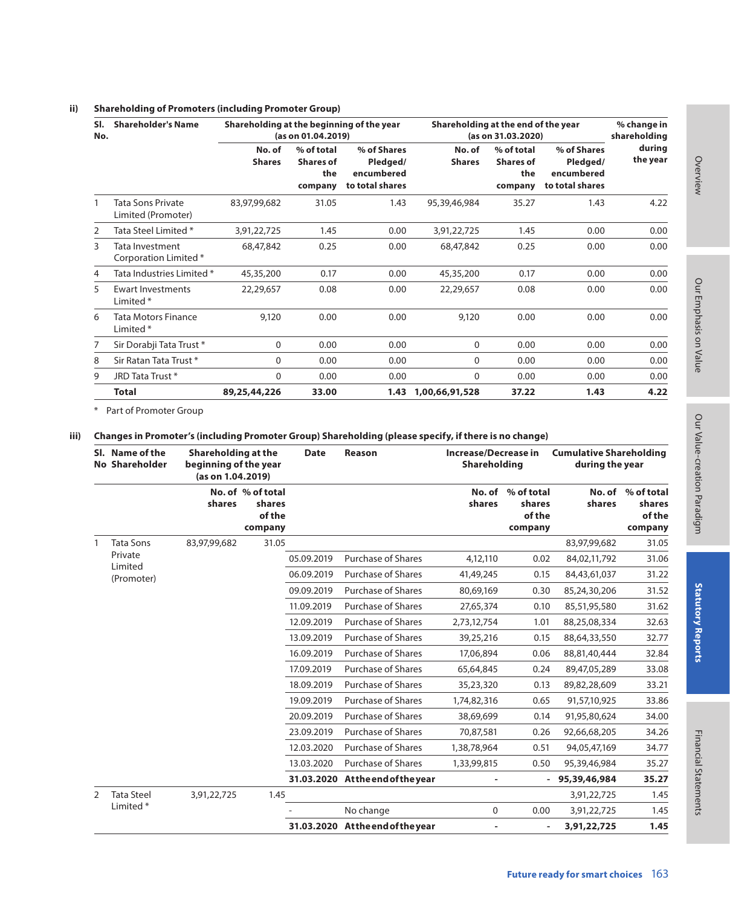#### **ii) Shareholding of Promoters (including Promoter Group)**

| SI.<br>No. | <b>Shareholder's Name</b>                          |                         | Shareholding at the beginning of the year<br>(as on 01.04.2019) |                                                          |                         | Shareholding at the end of the year<br>(as on 31.03.2020) |                                                          |                    |  |
|------------|----------------------------------------------------|-------------------------|-----------------------------------------------------------------|----------------------------------------------------------|-------------------------|-----------------------------------------------------------|----------------------------------------------------------|--------------------|--|
|            |                                                    | No. of<br><b>Shares</b> | % of total<br><b>Shares of</b><br>the<br>company                | % of Shares<br>Pledged/<br>encumbered<br>to total shares | No. of<br><b>Shares</b> | % of total<br><b>Shares of</b><br>the<br>company          | % of Shares<br>Pledged/<br>encumbered<br>to total shares | during<br>the year |  |
|            | <b>Tata Sons Private</b><br>Limited (Promoter)     | 83,97,99,682            | 31.05                                                           | 1.43                                                     | 95,39,46,984            | 35.27                                                     | 1.43                                                     | 4.22               |  |
| 2          | Tata Steel Limited *                               | 3,91,22,725             | 1.45                                                            | 0.00                                                     | 3,91,22,725             | 1.45                                                      | 0.00                                                     | 0.00               |  |
| 3          | Tata Investment<br>Corporation Limited *           | 68,47,842               | 0.25                                                            | 0.00                                                     | 68,47,842               | 0.25                                                      | 0.00                                                     | 0.00               |  |
| 4          | Tata Industries Limited *                          | 45,35,200               | 0.17                                                            | 0.00                                                     | 45,35,200               | 0.17                                                      | 0.00                                                     | 0.00               |  |
| 5          | <b>Ewart Investments</b><br>Limited <sup>*</sup>   | 22,29,657               | 0.08                                                            | 0.00                                                     | 22,29,657               | 0.08                                                      | 0.00                                                     | 0.00               |  |
| 6          | <b>Tata Motors Finance</b><br>Limited <sup>*</sup> | 9,120                   | 0.00                                                            | 0.00                                                     | 9,120                   | 0.00                                                      | 0.00                                                     | 0.00               |  |
| 7          | Sir Dorabji Tata Trust*                            | $\Omega$                | 0.00                                                            | 0.00                                                     | 0                       | 0.00                                                      | 0.00                                                     | 0.00               |  |
| 8          | Sir Ratan Tata Trust *                             | 0                       | 0.00                                                            | 0.00                                                     | $\Omega$                | 0.00                                                      | 0.00                                                     | 0.00               |  |
| 9          | JRD Tata Trust*                                    | $\Omega$                | 0.00                                                            | 0.00                                                     | 0                       | 0.00                                                      | 0.00                                                     | 0.00               |  |
|            | <b>Total</b>                                       | 89,25,44,226            | 33.00                                                           | 1.43                                                     | 1,00,66,91,528          | 37.22                                                     | 1.43                                                     | 4.22               |  |

\* Part of Promoter Group

#### **iii) Changes in Promoter's (including Promoter Group) Shareholding (please specify, if there is no change)**

|               |                      | SI. Name of the<br><b>No Shareholder</b> | <b>Shareholding at the</b><br>beginning of the year<br>(as on 1.04.2019) |            |                                 |                  | <b>Increase/Decrease in</b><br><b>Date</b><br>Reason<br>Shareholding |                  |                                           | <b>Cumulative Shareholding</b><br>during the year |  |
|---------------|----------------------|------------------------------------------|--------------------------------------------------------------------------|------------|---------------------------------|------------------|----------------------------------------------------------------------|------------------|-------------------------------------------|---------------------------------------------------|--|
|               |                      | shares                                   | No. of % of total<br>shares<br>of the<br>company                         |            |                                 | No. of<br>shares | % of total<br>shares<br>of the<br>company                            | No. of<br>shares | % of total<br>shares<br>of the<br>company |                                                   |  |
|               | <b>Tata Sons</b>     | 83,97,99,682                             | 31.05                                                                    |            |                                 |                  |                                                                      | 83,97,99,682     | 31.05                                     |                                                   |  |
|               | Private<br>Limited   |                                          |                                                                          | 05.09.2019 | <b>Purchase of Shares</b>       | 4,12,110         | 0.02                                                                 | 84,02,11,792     | 31.06                                     |                                                   |  |
|               | (Promoter)           |                                          |                                                                          | 06.09.2019 | <b>Purchase of Shares</b>       | 41,49,245        | 0.15                                                                 | 84,43,61,037     | 31.22                                     |                                                   |  |
|               |                      |                                          |                                                                          | 09.09.2019 | <b>Purchase of Shares</b>       | 80,69,169        | 0.30                                                                 | 85,24,30,206     | 31.52                                     |                                                   |  |
|               |                      |                                          |                                                                          | 11.09.2019 | <b>Purchase of Shares</b>       | 27,65,374        | 0.10                                                                 | 85,51,95,580     | 31.62                                     |                                                   |  |
|               |                      |                                          |                                                                          | 12.09.2019 | <b>Purchase of Shares</b>       | 2,73,12,754      | 1.01                                                                 | 88,25,08,334     | 32.63                                     |                                                   |  |
|               |                      |                                          |                                                                          | 13.09.2019 | <b>Purchase of Shares</b>       | 39,25,216        | 0.15                                                                 | 88,64,33,550     | 32.77                                     |                                                   |  |
|               |                      |                                          |                                                                          | 16.09.2019 | <b>Purchase of Shares</b>       | 17,06,894        | 0.06                                                                 | 88,81,40,444     | 32.84                                     |                                                   |  |
|               |                      |                                          |                                                                          | 17.09.2019 | <b>Purchase of Shares</b>       | 65,64,845        | 0.24                                                                 | 89,47,05,289     | 33.08                                     |                                                   |  |
|               |                      |                                          |                                                                          | 18.09.2019 | <b>Purchase of Shares</b>       | 35,23,320        | 0.13                                                                 | 89,82,28,609     | 33.21                                     |                                                   |  |
|               |                      |                                          |                                                                          | 19.09.2019 | <b>Purchase of Shares</b>       | 1,74,82,316      | 0.65                                                                 | 91,57,10,925     | 33.86                                     |                                                   |  |
|               |                      |                                          |                                                                          | 20.09.2019 | <b>Purchase of Shares</b>       | 38,69,699        | 0.14                                                                 | 91,95,80,624     | 34.00                                     |                                                   |  |
|               |                      |                                          |                                                                          | 23.09.2019 | <b>Purchase of Shares</b>       | 70,87,581        | 0.26                                                                 | 92,66,68,205     | 34.26                                     |                                                   |  |
|               |                      |                                          |                                                                          | 12.03.2020 | <b>Purchase of Shares</b>       | 1,38,78,964      | 0.51                                                                 | 94,05,47,169     | 34.77                                     |                                                   |  |
|               |                      |                                          |                                                                          | 13.03.2020 | <b>Purchase of Shares</b>       | 1,33,99,815      | 0.50                                                                 | 95,39,46,984     | 35.27                                     |                                                   |  |
|               |                      |                                          |                                                                          |            | 31.03.2020 Attheend of the year |                  |                                                                      | $-95,39,46,984$  | 35.27                                     |                                                   |  |
| $\mathcal{P}$ | <b>Tata Steel</b>    | 3,91,22,725                              | 1.45                                                                     |            |                                 |                  |                                                                      | 3,91,22,725      | 1.45                                      |                                                   |  |
|               | Limited <sup>*</sup> |                                          |                                                                          |            |                                 | No change        | 0                                                                    | 0.00             | 3,91,22,725                               | 1.45                                              |  |
|               |                      |                                          |                                                                          |            | 31.03.2020 Attheend of the year |                  | ٠                                                                    | 3,91,22,725      | 1.45                                      |                                                   |  |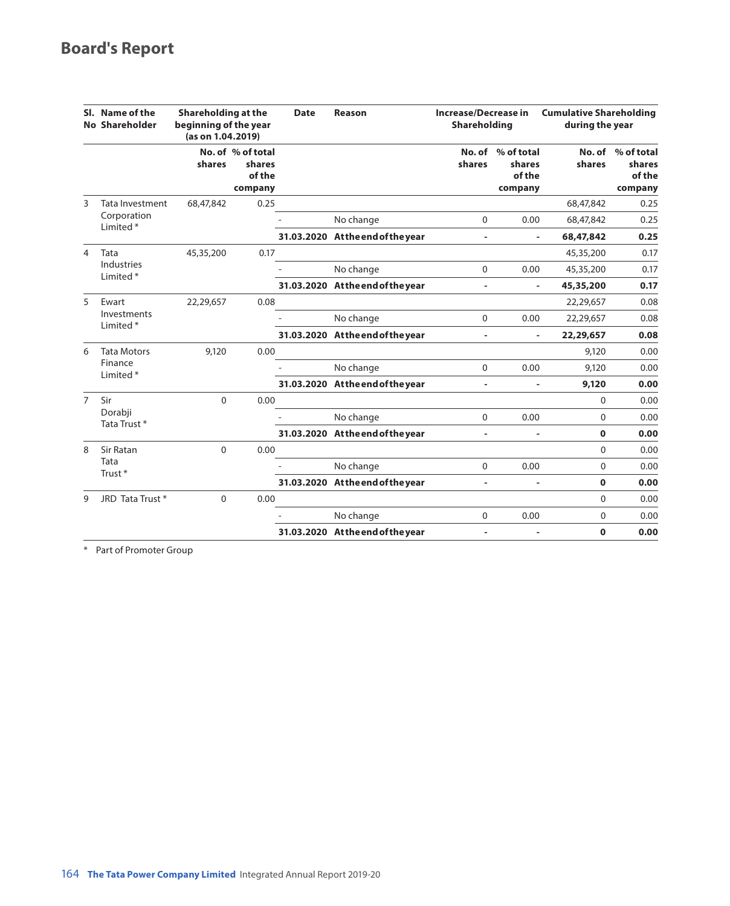|                | SI. Name of the<br>No Shareholder            | Shareholding at the<br>beginning of the year<br>(as on 1.04.2019) |                                                  | <b>Date</b> | Reason                          | Increase/Decrease in<br>Shareholding |                                                  | <b>Cumulative Shareholding</b><br>during the year |                                                  |
|----------------|----------------------------------------------|-------------------------------------------------------------------|--------------------------------------------------|-------------|---------------------------------|--------------------------------------|--------------------------------------------------|---------------------------------------------------|--------------------------------------------------|
|                |                                              | shares                                                            | No. of % of total<br>shares<br>of the<br>company |             |                                 | shares                               | No. of % of total<br>shares<br>of the<br>company | shares                                            | No. of % of total<br>shares<br>of the<br>company |
| 3              | Tata Investment                              | 68,47,842                                                         | 0.25                                             |             |                                 |                                      |                                                  | 68,47,842                                         | 0.25                                             |
|                | Corporation<br>Limited <sup>*</sup>          |                                                                   |                                                  |             | No change                       | $\Omega$                             | 0.00                                             | 68,47,842                                         | 0.25                                             |
|                |                                              |                                                                   |                                                  |             | 31.03.2020 Attheend of the year | $\mathbf{r}$                         | $\sim$                                           | 68,47,842                                         | 0.25                                             |
| 4              | Tata                                         | 45,35,200                                                         | 0.17                                             |             |                                 |                                      |                                                  | 45,35,200                                         | 0.17                                             |
|                | Industries<br>Limited <sup>*</sup>           |                                                                   |                                                  |             | No change                       | $\mathbf{0}$                         | 0.00                                             | 45,35,200                                         | 0.17                                             |
|                |                                              |                                                                   |                                                  |             | 31.03.2020 Attheend of the year | $\blacksquare$                       | $\overline{\phantom{a}}$                         | 45,35,200                                         | 0.17                                             |
| 5              | Ewart<br>Investments<br>Limited <sup>*</sup> | 22,29,657                                                         | 0.08                                             |             |                                 |                                      |                                                  | 22,29,657                                         | 0.08                                             |
|                |                                              |                                                                   |                                                  |             | No change                       | $\mathbf{0}$                         | 0.00                                             | 22,29,657                                         | 0.08                                             |
|                |                                              |                                                                   |                                                  |             | 31.03.2020 Attheend of the year | $\overline{\phantom{a}}$             | $\overline{\phantom{a}}$                         | 22,29,657                                         | 0.08                                             |
| 6              | <b>Tata Motors</b>                           | 9,120                                                             | 0.00                                             |             |                                 |                                      |                                                  | 9,120                                             | 0.00                                             |
|                | Finance<br>Limited <sup>*</sup>              |                                                                   |                                                  |             | No change                       | $\mathbf 0$                          | 0.00                                             | 9,120                                             | 0.00                                             |
|                |                                              |                                                                   |                                                  |             | 31.03.2020 Attheend of the year | $\mathbf{r}$                         | $\sim$                                           | 9,120                                             | 0.00                                             |
| $\overline{7}$ | Sir                                          | $\mathbf{0}$                                                      | 0.00                                             |             |                                 |                                      |                                                  | $\Omega$                                          | 0.00                                             |
|                | Dorabji<br>Tata Trust*                       |                                                                   |                                                  |             | No change                       | 0                                    | 0.00                                             | 0                                                 | 0.00                                             |
|                |                                              |                                                                   |                                                  |             | 31.03.2020 Attheendoftheyear    | $\overline{\phantom{a}}$             | $\overline{\phantom{a}}$                         | 0                                                 | 0.00                                             |
| 8              | Sir Ratan                                    | $\Omega$                                                          | 0.00                                             |             |                                 |                                      |                                                  | $\Omega$                                          | 0.00                                             |
|                | Tata<br>Trust <sup>*</sup>                   |                                                                   |                                                  |             | No change                       | $\Omega$                             | 0.00                                             | $\Omega$                                          | 0.00                                             |
|                |                                              |                                                                   |                                                  |             | 31.03.2020 Attheendoftheyear    | $\overline{\phantom{a}}$             | $\overline{\phantom{a}}$                         | 0                                                 | 0.00                                             |
| 9              | JRD Tata Trust*                              | $\Omega$                                                          | 0.00                                             |             |                                 |                                      |                                                  | $\Omega$                                          | 0.00                                             |
|                |                                              |                                                                   |                                                  |             | No change                       | $\Omega$                             | 0.00                                             | $\Omega$                                          | 0.00                                             |
|                |                                              |                                                                   |                                                  |             | 31.03.2020 Attheendoftheyear    | $\sim$                               | $\overline{\phantom{a}}$                         | 0                                                 | 0.00                                             |

\* Part of Promoter Group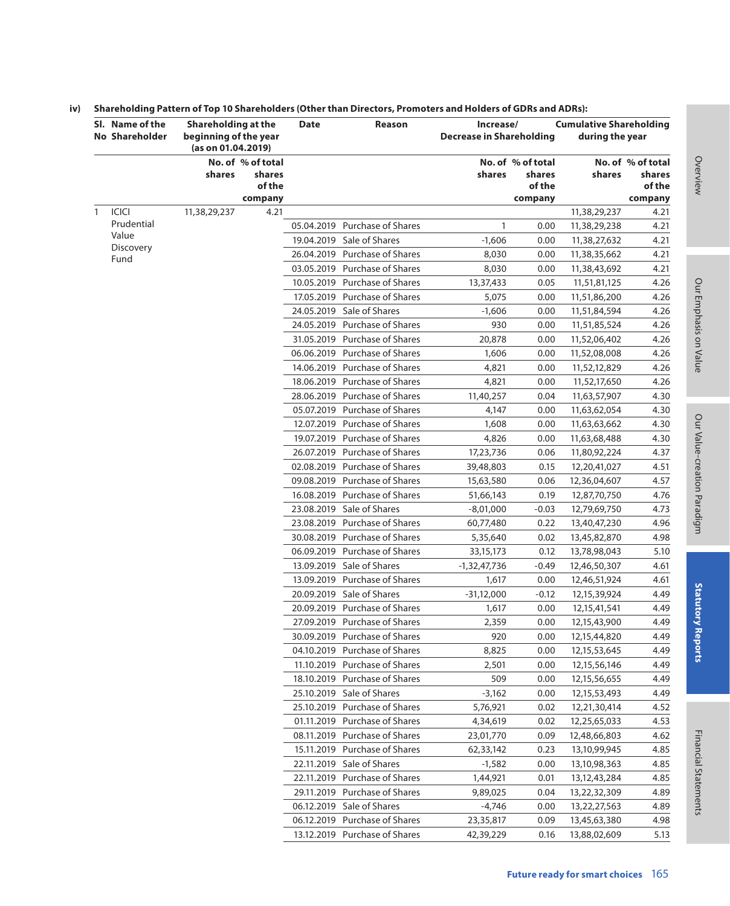|   | SI. Name of the<br>No Shareholder | Shareholding at the<br>beginning of the year<br>(as on 01.04.2019) |                                       | <b>Date</b> | Reason                                                         | Increase/<br><b>Decrease in Shareholding</b> |                                       | <b>Cumulative Shareholding</b><br>during the year |                                       |
|---|-----------------------------------|--------------------------------------------------------------------|---------------------------------------|-------------|----------------------------------------------------------------|----------------------------------------------|---------------------------------------|---------------------------------------------------|---------------------------------------|
|   |                                   | shares                                                             | No. of % of total<br>shares<br>of the |             |                                                                | shares                                       | No. of % of total<br>shares<br>of the | shares                                            | No. of % of total<br>shares<br>of the |
|   |                                   |                                                                    | company                               |             |                                                                |                                              | company                               |                                                   | company                               |
| 1 | <b>ICICI</b>                      | 11,38,29,237                                                       | 4.21                                  |             |                                                                |                                              |                                       | 11,38,29,237                                      | 4.21                                  |
|   | Prudential<br>Value               |                                                                    |                                       |             | 05.04.2019 Purchase of Shares                                  | $\mathbf{1}$                                 | 0.00                                  | 11,38,29,238                                      | 4.21                                  |
|   | Discovery                         |                                                                    |                                       |             | 19.04.2019 Sale of Shares                                      | $-1,606$                                     | 0.00                                  | 11,38,27,632                                      | 4.21                                  |
|   | Fund                              |                                                                    |                                       |             | 26.04.2019 Purchase of Shares                                  | 8,030                                        | 0.00                                  | 11,38,35,662                                      | 4.21                                  |
|   |                                   |                                                                    |                                       |             | 03.05.2019 Purchase of Shares                                  | 8,030                                        | 0.00                                  | 11,38,43,692                                      | 4.21                                  |
|   |                                   |                                                                    |                                       |             | 10.05.2019 Purchase of Shares                                  | 13,37,433                                    | 0.05                                  | 11,51,81,125                                      | 4.26                                  |
|   |                                   |                                                                    |                                       |             | 17.05.2019 Purchase of Shares                                  | 5,075                                        | 0.00                                  | 11,51,86,200                                      | 4.26                                  |
|   |                                   |                                                                    |                                       |             | 24.05.2019 Sale of Shares                                      | $-1,606$                                     | 0.00                                  | 11,51,84,594                                      | 4.26                                  |
|   |                                   |                                                                    |                                       |             | 24.05.2019 Purchase of Shares                                  | 930                                          | 0.00                                  | 11,51,85,524                                      | 4.26                                  |
|   |                                   |                                                                    |                                       |             | 31.05.2019 Purchase of Shares                                  | 20,878                                       | 0.00                                  | 11,52,06,402                                      | 4.26                                  |
|   |                                   |                                                                    |                                       |             | 06.06.2019 Purchase of Shares                                  | 1,606                                        | 0.00                                  | 11,52,08,008                                      | 4.26                                  |
|   |                                   |                                                                    |                                       |             | 14.06.2019 Purchase of Shares                                  | 4,821                                        | 0.00                                  | 11,52,12,829                                      | 4.26                                  |
|   |                                   |                                                                    |                                       |             | 18.06.2019 Purchase of Shares                                  | 4,821                                        | 0.00                                  | 11,52,17,650                                      | 4.26                                  |
|   |                                   |                                                                    |                                       |             | 28.06.2019 Purchase of Shares                                  | 11,40,257                                    | 0.04                                  | 11,63,57,907                                      | 4.30                                  |
|   |                                   |                                                                    |                                       |             | 05.07.2019 Purchase of Shares                                  | 4,147                                        | 0.00                                  | 11,63,62,054                                      | 4.30                                  |
|   |                                   |                                                                    |                                       |             | 12.07.2019 Purchase of Shares                                  | 1,608                                        | 0.00                                  | 11,63,63,662                                      | 4.30                                  |
|   |                                   |                                                                    |                                       |             | 19.07.2019 Purchase of Shares                                  | 4,826                                        | 0.00                                  | 11,63,68,488                                      | 4.30                                  |
|   |                                   |                                                                    |                                       |             | 26.07.2019 Purchase of Shares                                  | 17,23,736                                    | 0.06                                  | 11,80,92,224                                      | 4.37                                  |
|   |                                   |                                                                    |                                       |             | 02.08.2019 Purchase of Shares                                  | 39,48,803                                    | 0.15                                  | 12,20,41,027                                      | 4.51                                  |
|   |                                   |                                                                    |                                       |             | 09.08.2019 Purchase of Shares                                  | 15,63,580                                    | 0.06                                  | 12,36,04,607                                      | 4.57                                  |
|   |                                   |                                                                    |                                       |             | 16.08.2019 Purchase of Shares                                  | 51,66,143                                    | 0.19                                  | 12,87,70,750                                      | 4.76                                  |
|   |                                   |                                                                    |                                       |             | 23.08.2019 Sale of Shares                                      | $-8,01,000$                                  | $-0.03$                               | 12,79,69,750                                      | 4.73                                  |
|   |                                   |                                                                    |                                       |             | 23.08.2019 Purchase of Shares                                  | 60,77,480                                    | 0.22                                  | 13,40,47,230                                      | 4.96                                  |
|   |                                   |                                                                    |                                       |             | 30.08.2019 Purchase of Shares                                  | 5,35,640                                     | 0.02                                  | 13,45,82,870                                      | 4.98                                  |
|   |                                   |                                                                    |                                       |             | 06.09.2019 Purchase of Shares                                  | 33, 15, 173                                  | 0.12                                  | 13,78,98,043                                      | 5.10                                  |
|   |                                   |                                                                    |                                       |             | 13.09.2019 Sale of Shares                                      | -1,32,47,736                                 | $-0.49$                               | 12,46,50,307                                      | 4.61                                  |
|   |                                   |                                                                    |                                       |             | 13.09.2019 Purchase of Shares                                  | 1,617                                        | 0.00                                  | 12,46,51,924                                      | 4.61                                  |
|   |                                   |                                                                    |                                       |             | 20.09.2019 Sale of Shares<br>20.09.2019 Purchase of Shares     | $-31,12,000$                                 | $-0.12$                               | 12,15,39,924                                      | 4.49                                  |
|   |                                   |                                                                    |                                       |             | 27.09.2019 Purchase of Shares                                  | 1,617                                        | 0.00                                  | 12, 15, 41, 541                                   | 4.49                                  |
|   |                                   |                                                                    |                                       |             | 30.09.2019 Purchase of Shares                                  | 2,359<br>920                                 | 0.00<br>0.00                          | 12,15,43,900                                      | 4.49<br>4.49                          |
|   |                                   |                                                                    |                                       |             | 04.10.2019 Purchase of Shares                                  |                                              |                                       | 12,15,44,820<br>12, 15, 53, 645                   | 4.49                                  |
|   |                                   |                                                                    |                                       |             | 11.10.2019 Purchase of Shares                                  | 8,825<br>2,501                               | 0.00<br>0.00                          | 12, 15, 56, 146                                   | 4.49                                  |
|   |                                   |                                                                    |                                       |             | 18.10.2019 Purchase of Shares                                  | 509                                          | 0.00                                  |                                                   | 4.49                                  |
|   |                                   |                                                                    |                                       |             | Sale of Shares                                                 |                                              |                                       | 12, 15, 56, 655                                   |                                       |
|   |                                   |                                                                    |                                       | 25.10.2019  | 25.10.2019 Purchase of Shares                                  | $-3,162$<br>5,76,921                         | 0.00<br>0.02                          | 12,15,53,493                                      | 4.49                                  |
|   |                                   |                                                                    |                                       |             | 01.11.2019 Purchase of Shares                                  |                                              |                                       | 12,21,30,414                                      | 4.52                                  |
|   |                                   |                                                                    |                                       |             | 08.11.2019 Purchase of Shares                                  | 4,34,619                                     | 0.02                                  | 12,25,65,033                                      | 4.53                                  |
|   |                                   |                                                                    |                                       |             |                                                                | 23,01,770                                    | 0.09                                  | 12,48,66,803                                      | 4.62                                  |
|   |                                   |                                                                    |                                       | 15.11.2019  | Purchase of Shares                                             | 62,33,142                                    | 0.23                                  | 13,10,99,945                                      | 4.85                                  |
|   |                                   |                                                                    |                                       | 22.11.2019  | Sale of Shares                                                 | $-1,582$                                     | 0.00                                  | 13,10,98,363                                      | 4.85                                  |
|   |                                   |                                                                    |                                       |             | 22.11.2019 Purchase of Shares                                  | 1,44,921                                     | 0.01                                  | 13,12,43,284                                      | 4.85                                  |
|   |                                   |                                                                    |                                       |             | 29.11.2019 Purchase of Shares<br>06.12.2019 Sale of Shares     | 9,89,025                                     | 0.04                                  | 13,22,32,309                                      | 4.89                                  |
|   |                                   |                                                                    |                                       |             |                                                                | $-4,746$                                     | 0.00                                  | 13,22,27,563                                      | 4.89                                  |
|   |                                   |                                                                    |                                       |             | 06.12.2019 Purchase of Shares<br>13.12.2019 Purchase of Shares | 23,35,817                                    | 0.09                                  | 13,45,63,380                                      | 4.98<br>5.13                          |

| iv) Shareholding Pattern of Top 10 Shareholders (Other than Directors, Promoters and Holders of GDRs and ADRs): |
|-----------------------------------------------------------------------------------------------------------------|
|                                                                                                                 |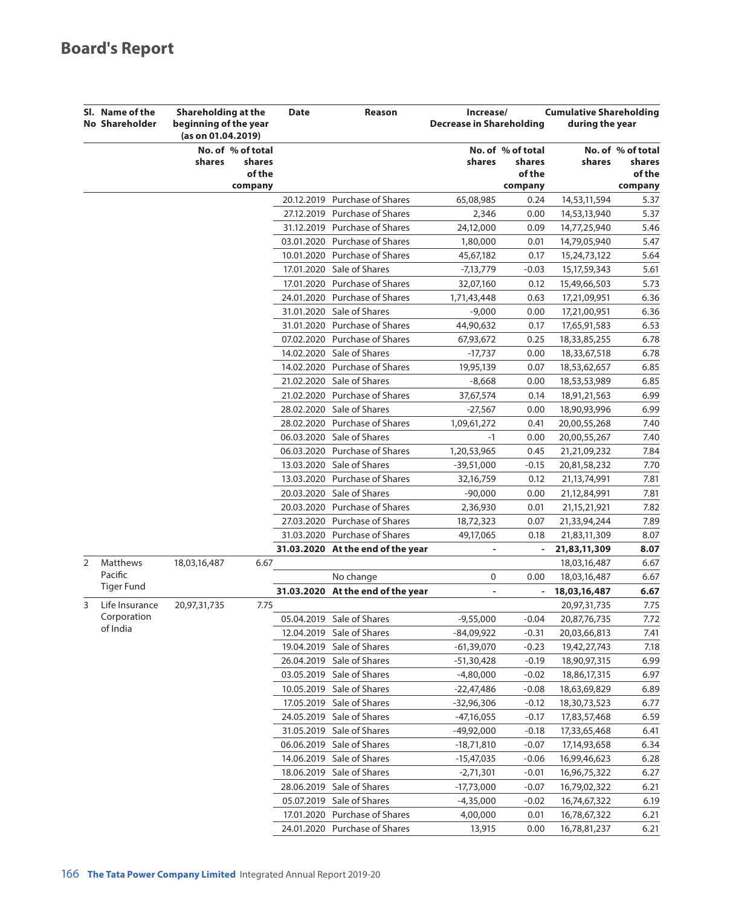|   | SI. Name of the<br>No Shareholder | Shareholding at the<br>beginning of the year<br>(as on 01.04.2019) |                                                  | <b>Date</b> | Reason                            | Increase/<br><b>Decrease in Shareholding</b> |                                                  | <b>Cumulative Shareholding</b><br>during the year |                                                  |  |
|---|-----------------------------------|--------------------------------------------------------------------|--------------------------------------------------|-------------|-----------------------------------|----------------------------------------------|--------------------------------------------------|---------------------------------------------------|--------------------------------------------------|--|
|   |                                   | shares                                                             | No. of % of total<br>shares<br>of the<br>company |             |                                   | shares                                       | No. of % of total<br>shares<br>of the<br>company | shares                                            | No. of % of total<br>shares<br>of the<br>company |  |
|   |                                   |                                                                    |                                                  |             | 20.12.2019 Purchase of Shares     | 65,08,985                                    | 0.24                                             | 14,53,11,594                                      | 5.37                                             |  |
|   |                                   |                                                                    |                                                  |             | 27.12.2019 Purchase of Shares     | 2,346                                        | 0.00                                             | 14,53,13,940                                      | 5.37                                             |  |
|   |                                   |                                                                    |                                                  |             | 31.12.2019 Purchase of Shares     | 24,12,000                                    | 0.09                                             | 14,77,25,940                                      | 5.46                                             |  |
|   |                                   |                                                                    |                                                  |             | 03.01.2020 Purchase of Shares     | 1,80,000                                     | 0.01                                             | 14,79,05,940                                      | 5.47                                             |  |
|   |                                   |                                                                    |                                                  |             | 10.01.2020 Purchase of Shares     | 45,67,182                                    | 0.17                                             | 15,24,73,122                                      | 5.64                                             |  |
|   |                                   |                                                                    |                                                  |             | 17.01.2020 Sale of Shares         | -7,13,779                                    | $-0.03$                                          | 15, 17, 59, 343                                   | 5.61                                             |  |
|   |                                   |                                                                    |                                                  |             | 17.01.2020 Purchase of Shares     | 32,07,160                                    | 0.12                                             | 15,49,66,503                                      | 5.73                                             |  |
|   |                                   |                                                                    |                                                  |             | 24.01.2020 Purchase of Shares     | 1,71,43,448                                  | 0.63                                             | 17,21,09,951                                      | 6.36                                             |  |
|   |                                   |                                                                    |                                                  |             | 31.01.2020 Sale of Shares         | $-9,000$                                     | 0.00                                             | 17,21,00,951                                      | 6.36                                             |  |
|   |                                   |                                                                    |                                                  |             | 31.01.2020 Purchase of Shares     | 44,90,632                                    | 0.17                                             | 17,65,91,583                                      | 6.53                                             |  |
|   |                                   |                                                                    |                                                  |             | 07.02.2020 Purchase of Shares     | 67,93,672                                    | 0.25                                             | 18,33,85,255                                      | 6.78                                             |  |
|   |                                   |                                                                    |                                                  |             | 14.02.2020 Sale of Shares         | $-17,737$                                    | 0.00                                             | 18,33,67,518                                      | 6.78                                             |  |
|   |                                   |                                                                    |                                                  |             | 14.02.2020 Purchase of Shares     | 19,95,139                                    | 0.07                                             | 18,53,62,657                                      | 6.85                                             |  |
|   |                                   |                                                                    |                                                  |             | 21.02.2020 Sale of Shares         | -8,668                                       | 0.00                                             | 18,53,53,989                                      | 6.85                                             |  |
|   |                                   |                                                                    |                                                  |             | 21.02.2020 Purchase of Shares     | 37,67,574                                    | 0.14                                             | 18,91,21,563                                      | 6.99                                             |  |
|   |                                   |                                                                    |                                                  |             | 28.02.2020 Sale of Shares         | $-27,567$                                    | 0.00                                             | 18,90,93,996                                      | 6.99                                             |  |
|   |                                   |                                                                    |                                                  |             | 28.02.2020 Purchase of Shares     | 1,09,61,272                                  | 0.41                                             | 20,00,55,268                                      | 7.40                                             |  |
|   |                                   |                                                                    |                                                  |             | 06.03.2020 Sale of Shares         | $-1$                                         | 0.00                                             | 20,00,55,267                                      | 7.40                                             |  |
|   |                                   |                                                                    |                                                  |             | 06.03.2020 Purchase of Shares     | 1,20,53,965                                  | 0.45                                             | 21,21,09,232                                      | 7.84                                             |  |
|   |                                   |                                                                    |                                                  |             | 13.03.2020 Sale of Shares         | $-39,51,000$                                 | $-0.15$                                          | 20,81,58,232                                      | 7.70                                             |  |
|   |                                   |                                                                    |                                                  |             | 13.03.2020 Purchase of Shares     | 32,16,759                                    | 0.12                                             | 21, 13, 74, 991                                   | 7.81                                             |  |
|   |                                   |                                                                    |                                                  |             | 20.03.2020 Sale of Shares         | $-90,000$                                    | 0.00                                             | 21,12,84,991                                      | 7.81                                             |  |
|   |                                   |                                                                    |                                                  |             | 20.03.2020 Purchase of Shares     | 2,36,930                                     | 0.01                                             | 21, 15, 21, 921                                   | 7.82                                             |  |
|   |                                   |                                                                    |                                                  |             | 27.03.2020 Purchase of Shares     | 18,72,323                                    | 0.07                                             | 21,33,94,244                                      | 7.89                                             |  |
|   |                                   |                                                                    |                                                  |             | 31.03.2020 Purchase of Shares     | 49,17,065                                    | 0.18                                             | 21,83,11,309                                      | 8.07                                             |  |
|   |                                   |                                                                    |                                                  |             | 31.03.2020 At the end of the year | $\overline{\phantom{a}}$                     | $\overline{\phantom{a}}$                         | 21,83,11,309                                      | 8.07                                             |  |
| 2 | Matthews                          | 18,03,16,487                                                       | 6.67                                             |             |                                   |                                              |                                                  | 18,03,16,487                                      | 6.67                                             |  |
|   | Pacific                           |                                                                    |                                                  |             | No change                         | 0                                            | 0.00                                             | 18,03,16,487                                      | 6.67                                             |  |
|   | <b>Tiger Fund</b>                 |                                                                    |                                                  |             | 31.03.2020 At the end of the year |                                              | $\overline{\phantom{a}}$                         | 18,03,16,487                                      | 6.67                                             |  |
| 3 | Life Insurance                    | 20,97,31,735                                                       | 7.75                                             |             |                                   |                                              |                                                  | 20,97,31,735                                      | 7.75                                             |  |
|   | Corporation                       |                                                                    |                                                  |             | 05.04.2019 Sale of Shares         | $-9,55,000$                                  | $-0.04$                                          | 20,87,76,735                                      | 7.72                                             |  |
|   | of India                          |                                                                    |                                                  |             | 12.04.2019 Sale of Shares         | -84,09,922                                   | $-0.31$                                          | 20,03,66,813                                      | 7.41                                             |  |
|   |                                   |                                                                    |                                                  |             | 19.04.2019 Sale of Shares         | -61,39,070                                   | $-0.23$                                          | 19,42,27,743                                      | 7.18                                             |  |
|   |                                   |                                                                    |                                                  |             | 26.04.2019 Sale of Shares         | $-51,30,428$                                 | $-0.19$                                          | 18,90,97,315                                      | 6.99                                             |  |
|   |                                   |                                                                    |                                                  |             | 03.05.2019 Sale of Shares         | $-4,80,000$                                  | $-0.02$                                          | 18,86,17,315                                      | 6.97                                             |  |
|   |                                   |                                                                    |                                                  |             | 10.05.2019 Sale of Shares         | $-22,47,486$                                 | $-0.08$                                          | 18,63,69,829                                      | 6.89                                             |  |
|   |                                   |                                                                    |                                                  |             | 17.05.2019 Sale of Shares         | $-32,96,306$                                 | $-0.12$                                          | 18,30,73,523                                      | 6.77                                             |  |
|   |                                   |                                                                    |                                                  |             | 24.05.2019 Sale of Shares         | $-47,16,055$                                 | $-0.17$                                          | 17,83,57,468                                      | 6.59                                             |  |
|   |                                   |                                                                    |                                                  |             | 31.05.2019 Sale of Shares         | $-49,92,000$                                 | $-0.18$                                          | 17,33,65,468                                      | 6.41                                             |  |
|   |                                   |                                                                    |                                                  |             | 06.06.2019 Sale of Shares         | $-18,71,810$                                 | $-0.07$                                          | 17,14,93,658                                      | 6.34                                             |  |
|   |                                   |                                                                    |                                                  |             | 14.06.2019 Sale of Shares         | $-15,47,035$                                 | $-0.06$                                          | 16,99,46,623                                      | 6.28                                             |  |
|   |                                   |                                                                    |                                                  |             | 18.06.2019 Sale of Shares         | $-2,71,301$                                  | $-0.01$                                          | 16,96,75,322                                      | 6.27                                             |  |
|   |                                   |                                                                    |                                                  |             | 28.06.2019 Sale of Shares         | $-17,73,000$                                 | $-0.07$                                          | 16,79,02,322                                      | 6.21                                             |  |
|   |                                   |                                                                    |                                                  |             | 05.07.2019 Sale of Shares         | $-4,35,000$                                  | $-0.02$                                          | 16,74,67,322                                      | 6.19                                             |  |
|   |                                   |                                                                    |                                                  |             | 17.01.2020 Purchase of Shares     | 4,00,000                                     | 0.01                                             | 16,78,67,322                                      | 6.21                                             |  |
|   |                                   |                                                                    |                                                  |             | 24.01.2020 Purchase of Shares     | 13,915                                       | 0.00                                             | 16,78,81,237                                      | 6.21                                             |  |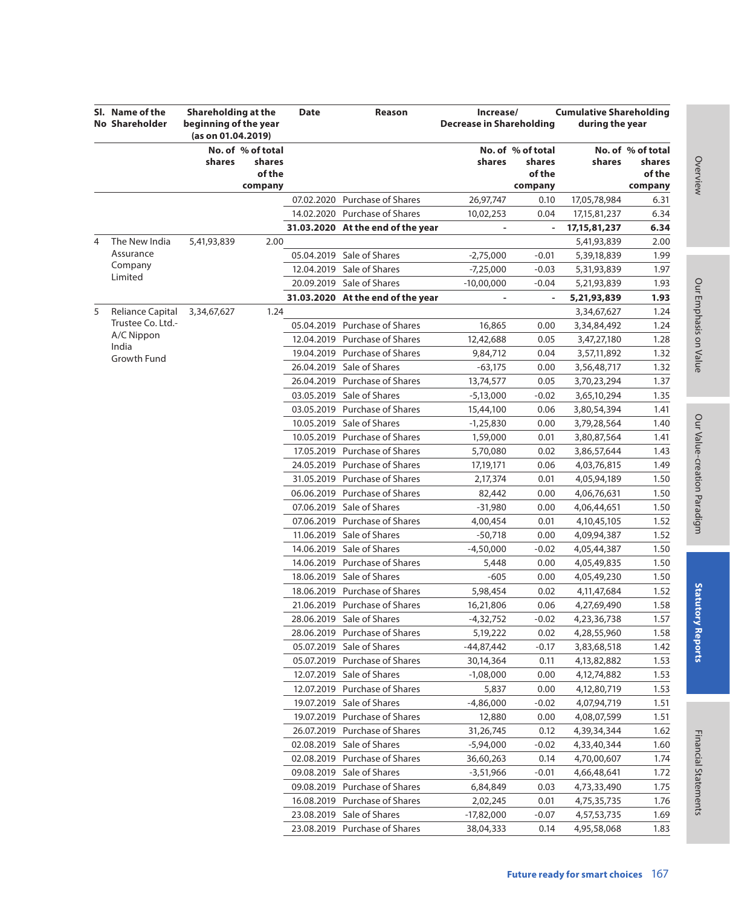|   | SI. Name of the<br>Shareholding at the<br>No Shareholder<br>beginning of the year<br>(as on 01.04.2019) |             |                                       | <b>Date</b> | Reason                            | Increase/<br><b>Decrease in Shareholding</b> |                                       | <b>Cumulative Shareholding</b><br>during the year |                                       |  |
|---|---------------------------------------------------------------------------------------------------------|-------------|---------------------------------------|-------------|-----------------------------------|----------------------------------------------|---------------------------------------|---------------------------------------------------|---------------------------------------|--|
|   |                                                                                                         | shares      | No. of % of total<br>shares<br>of the |             |                                   | shares                                       | No. of % of total<br>shares<br>of the | shares                                            | No. of % of total<br>shares<br>of the |  |
|   |                                                                                                         |             | company                               |             |                                   |                                              | company                               |                                                   | company                               |  |
|   |                                                                                                         |             |                                       |             | 07.02.2020 Purchase of Shares     | 26,97,747                                    | 0.10                                  | 17,05,78,984                                      | 6.31                                  |  |
|   |                                                                                                         |             |                                       |             | 14.02.2020 Purchase of Shares     | 10,02,253                                    | 0.04                                  | 17, 15, 81, 237                                   | 6.34                                  |  |
|   |                                                                                                         |             |                                       |             | 31.03.2020 At the end of the year |                                              | $\blacksquare$                        | 17,15,81,237                                      | 6.34                                  |  |
| 4 | The New India<br>Assurance                                                                              | 5,41,93,839 | 2.00                                  |             | 05.04.2019 Sale of Shares         |                                              |                                       | 5,41,93,839                                       | 2.00<br>1.99                          |  |
|   | Company                                                                                                 |             |                                       |             | 12.04.2019 Sale of Shares         | $-2,75,000$<br>$-7,25,000$                   | $-0.01$                               | 5,39,18,839                                       | 1.97                                  |  |
|   | Limited                                                                                                 |             |                                       |             | 20.09.2019 Sale of Shares         |                                              | $-0.03$<br>$-0.04$                    | 5,31,93,839                                       | 1.93                                  |  |
|   |                                                                                                         |             |                                       |             |                                   | $-10,00,000$                                 | $\blacksquare$                        | 5,21,93,839                                       |                                       |  |
| 5 |                                                                                                         |             |                                       |             | 31.03.2020 At the end of the year |                                              |                                       | 5,21,93,839                                       | 1.93                                  |  |
|   | Reliance Capital<br>Trustee Co. Ltd.-                                                                   | 3,34,67,627 | 1.24                                  |             | 05.04.2019 Purchase of Shares     | 16,865                                       | 0.00                                  | 3,34,67,627                                       | 1.24<br>1.24                          |  |
|   | A/C Nippon                                                                                              |             |                                       |             | 12.04.2019 Purchase of Shares     |                                              |                                       | 3,34,84,492                                       |                                       |  |
|   | India                                                                                                   |             |                                       |             | 19.04.2019 Purchase of Shares     | 12,42,688                                    | 0.05                                  | 3,47,27,180                                       | 1.28<br>1.32                          |  |
|   | Growth Fund                                                                                             |             |                                       |             | 26.04.2019 Sale of Shares         | 9,84,712                                     | 0.04                                  | 3,57,11,892                                       |                                       |  |
|   |                                                                                                         |             |                                       |             |                                   | $-63,175$                                    | 0.00                                  | 3,56,48,717                                       | 1.32                                  |  |
|   |                                                                                                         |             |                                       |             | 26.04.2019 Purchase of Shares     | 13,74,577                                    | 0.05                                  | 3,70,23,294                                       | 1.37                                  |  |
|   |                                                                                                         |             |                                       |             | 03.05.2019 Sale of Shares         | $-5,13,000$                                  | $-0.02$                               | 3,65,10,294                                       | 1.35                                  |  |
|   |                                                                                                         |             |                                       |             | 03.05.2019 Purchase of Shares     | 15,44,100                                    | 0.06                                  | 3,80,54,394                                       | 1.41                                  |  |
|   |                                                                                                         |             |                                       |             | 10.05.2019 Sale of Shares         | $-1,25,830$                                  | 0.00                                  | 3,79,28,564                                       | 1.40                                  |  |
|   |                                                                                                         |             |                                       |             | 10.05.2019 Purchase of Shares     | 1,59,000                                     | 0.01                                  | 3,80,87,564                                       | 1.41                                  |  |
|   |                                                                                                         |             |                                       |             | 17.05.2019 Purchase of Shares     | 5,70,080                                     | 0.02                                  | 3,86,57,644                                       | 1.43                                  |  |
|   |                                                                                                         |             |                                       |             | 24.05.2019 Purchase of Shares     | 17,19,171                                    | 0.06                                  | 4,03,76,815                                       | 1.49                                  |  |
|   |                                                                                                         |             |                                       |             | 31.05.2019 Purchase of Shares     | 2,17,374                                     | 0.01                                  | 4,05,94,189                                       | 1.50                                  |  |
|   |                                                                                                         |             |                                       |             | 06.06.2019 Purchase of Shares     | 82,442                                       | 0.00                                  | 4,06,76,631                                       | 1.50                                  |  |
|   |                                                                                                         |             |                                       |             | 07.06.2019 Sale of Shares         | $-31,980$                                    | 0.00                                  | 4,06,44,651                                       | 1.50                                  |  |
|   |                                                                                                         |             |                                       |             | 07.06.2019 Purchase of Shares     | 4,00,454                                     | 0.01                                  | 4, 10, 45, 105                                    | 1.52                                  |  |
|   |                                                                                                         |             |                                       |             | 11.06.2019 Sale of Shares         | $-50,718$                                    | 0.00                                  | 4,09,94,387                                       | 1.52                                  |  |
|   |                                                                                                         |             |                                       |             | 14.06.2019 Sale of Shares         | $-4,50,000$                                  | $-0.02$                               | 4,05,44,387                                       | 1.50                                  |  |
|   |                                                                                                         |             |                                       |             | 14.06.2019 Purchase of Shares     | 5,448                                        | 0.00                                  | 4,05,49,835                                       | 1.50                                  |  |
|   |                                                                                                         |             |                                       |             | 18.06.2019 Sale of Shares         | $-605$                                       | 0.00                                  | 4,05,49,230                                       | 1.50                                  |  |
|   |                                                                                                         |             |                                       |             | 18.06.2019 Purchase of Shares     | 5,98,454                                     | 0.02                                  | 4,11,47,684                                       | 1.52                                  |  |
|   |                                                                                                         |             |                                       |             | 21.06.2019 Purchase of Shares     | 16,21,806                                    | 0.06                                  | 4,27,69,490                                       | 1.58                                  |  |
|   |                                                                                                         |             |                                       |             | 28.06.2019 Sale of Shares         | $-4,32,752$                                  | $-0.02$                               | 4,23,36,738                                       | 1.57                                  |  |
|   |                                                                                                         |             |                                       |             | 28.06.2019 Purchase of Shares     | 5,19,222                                     | 0.02                                  | 4,28,55,960                                       | 1.58                                  |  |
|   |                                                                                                         |             |                                       |             | 05.07.2019 Sale of Shares         | $-44,87,442$                                 | $-0.17$                               | 3,83,68,518                                       | 1.42                                  |  |
|   |                                                                                                         |             |                                       |             | 05.07.2019 Purchase of Shares     | 30,14,364                                    | 0.11                                  | 4, 13, 82, 882                                    | 1.53                                  |  |
|   |                                                                                                         |             |                                       |             | 12.07.2019 Sale of Shares         | $-1,08,000$                                  | 0.00                                  | 4,12,74,882                                       | 1.53                                  |  |
|   |                                                                                                         |             |                                       |             | 12.07.2019 Purchase of Shares     | 5,837                                        | 0.00                                  | 4,12,80,719                                       | 1.53                                  |  |
|   |                                                                                                         |             |                                       |             | 19.07.2019 Sale of Shares         | $-4,86,000$                                  | $-0.02$                               | 4,07,94,719                                       | 1.51                                  |  |
|   |                                                                                                         |             |                                       |             | 19.07.2019 Purchase of Shares     | 12,880                                       | 0.00                                  | 4,08,07,599                                       | 1.51                                  |  |
|   |                                                                                                         |             |                                       |             | 26.07.2019 Purchase of Shares     | 31,26,745                                    | 0.12                                  | 4,39,34,344                                       | 1.62                                  |  |
|   |                                                                                                         |             |                                       |             | 02.08.2019 Sale of Shares         | $-5,94,000$                                  | $-0.02$                               | 4,33,40,344                                       | 1.60                                  |  |
|   |                                                                                                         |             |                                       |             | 02.08.2019 Purchase of Shares     | 36,60,263                                    | 0.14                                  | 4,70,00,607                                       | 1.74                                  |  |
|   |                                                                                                         |             |                                       |             | 09.08.2019 Sale of Shares         | $-3,51,966$                                  | $-0.01$                               | 4,66,48,641                                       | 1.72                                  |  |
|   |                                                                                                         |             |                                       |             | 09.08.2019 Purchase of Shares     | 6,84,849                                     | 0.03                                  | 4,73,33,490                                       | 1.75                                  |  |
|   |                                                                                                         |             |                                       |             | 16.08.2019 Purchase of Shares     | 2,02,245                                     | 0.01                                  | 4,75,35,735                                       | 1.76                                  |  |
|   |                                                                                                         |             |                                       |             | 23.08.2019 Sale of Shares         | $-17,82,000$                                 | $-0.07$                               | 4,57,53,735                                       | 1.69                                  |  |
|   |                                                                                                         |             |                                       |             | 23.08.2019 Purchase of Shares     | 38,04,333                                    | 0.14                                  | 4,95,58,068                                       | 1.83                                  |  |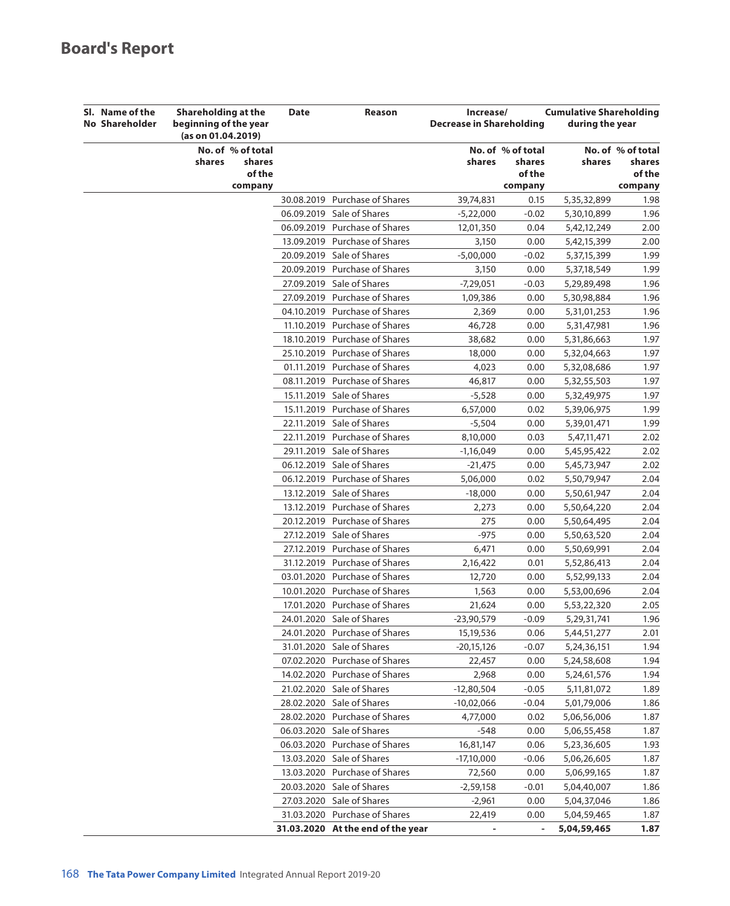| Shareholding at the<br>SI. Name of the<br>beginning of the year<br>No Shareholder |                                         | <b>Date</b> | Reason                            | Increase/<br><b>Decrease in Shareholding</b> |                          | <b>Cumulative Shareholding</b><br>during the year |                   |  |
|-----------------------------------------------------------------------------------|-----------------------------------------|-------------|-----------------------------------|----------------------------------------------|--------------------------|---------------------------------------------------|-------------------|--|
|                                                                                   | (as on 01.04.2019)<br>No. of % of total |             |                                   |                                              | No. of % of total        |                                                   | No. of % of total |  |
|                                                                                   | shares<br>shares                        |             |                                   | shares                                       | shares                   | shares                                            | shares            |  |
|                                                                                   | of the                                  |             |                                   |                                              | of the                   |                                                   | of the            |  |
|                                                                                   | company                                 |             |                                   |                                              | company                  |                                                   | company           |  |
|                                                                                   |                                         |             | 30.08.2019 Purchase of Shares     | 39,74,831                                    | 0.15                     | 5,35,32,899                                       | 1.98              |  |
|                                                                                   |                                         |             | 06.09.2019 Sale of Shares         | $-5,22,000$                                  | $-0.02$                  | 5,30,10,899                                       | 1.96              |  |
|                                                                                   |                                         |             | 06.09.2019 Purchase of Shares     | 12,01,350                                    | 0.04                     | 5,42,12,249                                       | 2.00              |  |
|                                                                                   |                                         |             | 13.09.2019 Purchase of Shares     | 3,150                                        | 0.00                     | 5,42,15,399                                       | 2.00              |  |
|                                                                                   |                                         |             | 20.09.2019 Sale of Shares         | $-5,00,000$                                  | $-0.02$                  | 5,37,15,399                                       | 1.99              |  |
|                                                                                   |                                         |             | 20.09.2019 Purchase of Shares     | 3,150                                        | 0.00                     | 5,37,18,549                                       | 1.99              |  |
|                                                                                   |                                         |             | 27.09.2019 Sale of Shares         | $-7,29,051$                                  | $-0.03$                  | 5,29,89,498                                       | 1.96              |  |
|                                                                                   |                                         |             | 27.09.2019 Purchase of Shares     | 1,09,386                                     | 0.00                     | 5,30,98,884                                       | 1.96              |  |
|                                                                                   |                                         |             | 04.10.2019 Purchase of Shares     | 2,369                                        | 0.00                     | 5,31,01,253                                       | 1.96              |  |
|                                                                                   |                                         |             | 11.10.2019 Purchase of Shares     | 46,728                                       | 0.00                     | 5,31,47,981                                       | 1.96              |  |
|                                                                                   |                                         |             | 18.10.2019 Purchase of Shares     | 38,682                                       | 0.00                     | 5,31,86,663                                       | 1.97              |  |
|                                                                                   |                                         |             | 25.10.2019 Purchase of Shares     | 18,000                                       | 0.00                     | 5,32,04,663                                       | 1.97              |  |
|                                                                                   |                                         |             | 01.11.2019 Purchase of Shares     | 4,023                                        | 0.00                     | 5,32,08,686                                       | 1.97              |  |
|                                                                                   |                                         |             | 08.11.2019 Purchase of Shares     | 46,817                                       | 0.00                     | 5,32,55,503                                       | 1.97              |  |
|                                                                                   |                                         |             | 15.11.2019 Sale of Shares         | $-5,528$                                     | 0.00                     | 5,32,49,975                                       | 1.97              |  |
|                                                                                   |                                         |             | 15.11.2019 Purchase of Shares     | 6,57,000                                     | 0.02                     | 5,39,06,975                                       | 1.99              |  |
|                                                                                   |                                         |             | 22.11.2019 Sale of Shares         | $-5,504$                                     | 0.00                     | 5,39,01,471                                       | 1.99              |  |
|                                                                                   |                                         |             | 22.11.2019 Purchase of Shares     | 8,10,000                                     | 0.03                     | 5,47,11,471                                       | 2.02              |  |
|                                                                                   |                                         |             | 29.11.2019 Sale of Shares         | $-1,16,049$                                  | 0.00                     | 5,45,95,422                                       | 2.02              |  |
|                                                                                   |                                         |             | 06.12.2019 Sale of Shares         | -21,475                                      | 0.00                     | 5,45,73,947                                       | 2.02              |  |
|                                                                                   |                                         |             | 06.12.2019 Purchase of Shares     | 5,06,000                                     | 0.02                     | 5,50,79,947                                       | 2.04              |  |
|                                                                                   |                                         |             | 13.12.2019 Sale of Shares         | $-18,000$                                    | 0.00                     | 5,50,61,947                                       | 2.04              |  |
|                                                                                   |                                         |             | 13.12.2019 Purchase of Shares     | 2,273                                        | 0.00                     | 5,50,64,220                                       | 2.04              |  |
|                                                                                   |                                         |             | 20.12.2019 Purchase of Shares     | 275                                          | 0.00                     | 5,50,64,495                                       | 2.04              |  |
|                                                                                   |                                         |             | 27.12.2019 Sale of Shares         | $-975$                                       | 0.00                     | 5,50,63,520                                       | 2.04              |  |
|                                                                                   |                                         |             | 27.12.2019 Purchase of Shares     | 6,471                                        | 0.00                     | 5,50,69,991                                       | 2.04              |  |
|                                                                                   |                                         |             | 31.12.2019 Purchase of Shares     | 2,16,422                                     | 0.01                     | 5,52,86,413                                       | 2.04              |  |
|                                                                                   |                                         |             | 03.01.2020 Purchase of Shares     | 12,720                                       | 0.00                     | 5,52,99,133                                       | 2.04              |  |
|                                                                                   |                                         |             | 10.01.2020 Purchase of Shares     | 1,563                                        | 0.00                     | 5,53,00,696                                       | 2.04              |  |
|                                                                                   |                                         |             | 17.01.2020 Purchase of Shares     | 21,624                                       | 0.00                     | 5,53,22,320                                       | 2.05              |  |
|                                                                                   |                                         |             | 24.01.2020 Sale of Shares         | -23,90,579                                   | $-0.09$                  | 5,29,31,741                                       | 1.96              |  |
|                                                                                   |                                         |             | 24.01.2020 Purchase of Shares     | 15,19,536                                    | 0.06                     | 5,44,51,277                                       | 2.01              |  |
|                                                                                   |                                         |             | 31.01.2020 Sale of Shares         | -20,15,126                                   | $-0.07$                  | 5,24,36,151                                       | 1.94              |  |
|                                                                                   |                                         |             | 07.02.2020 Purchase of Shares     | 22,457                                       | 0.00                     | 5,24,58,608                                       | 1.94              |  |
|                                                                                   |                                         |             | 14.02.2020 Purchase of Shares     | 2,968                                        | 0.00                     | 5,24,61,576                                       | 1.94              |  |
|                                                                                   |                                         |             | 21.02.2020 Sale of Shares         | $-12,80,504$                                 | $-0.05$                  | 5,11,81,072                                       | 1.89              |  |
|                                                                                   |                                         |             | 28.02.2020 Sale of Shares         | $-10,02,066$                                 | $-0.04$                  | 5,01,79,006                                       | 1.86              |  |
|                                                                                   |                                         |             | 28.02.2020 Purchase of Shares     | 4,77,000                                     | 0.02                     | 5,06,56,006                                       | 1.87              |  |
|                                                                                   |                                         |             | 06.03.2020 Sale of Shares         | -548                                         | 0.00                     | 5,06,55,458                                       | 1.87              |  |
|                                                                                   |                                         |             | 06.03.2020 Purchase of Shares     | 16,81,147                                    | 0.06                     | 5,23,36,605                                       | 1.93              |  |
|                                                                                   |                                         |             | 13.03.2020 Sale of Shares         | -17,10,000                                   | $-0.06$                  | 5,06,26,605                                       | 1.87              |  |
|                                                                                   |                                         |             | 13.03.2020 Purchase of Shares     | 72,560                                       | 0.00                     | 5,06,99,165                                       | 1.87              |  |
|                                                                                   |                                         |             | 20.03.2020 Sale of Shares         | $-2,59,158$                                  | $-0.01$                  | 5,04,40,007                                       | 1.86              |  |
|                                                                                   |                                         |             | 27.03.2020 Sale of Shares         | -2,961                                       | 0.00                     | 5,04,37,046                                       | 1.86              |  |
|                                                                                   |                                         |             | 31.03.2020 Purchase of Shares     | 22,419                                       | 0.00                     | 5,04,59,465                                       | 1.87              |  |
|                                                                                   |                                         |             | 31.03.2020 At the end of the year |                                              | $\overline{\phantom{a}}$ | 5,04,59,465                                       | 1.87              |  |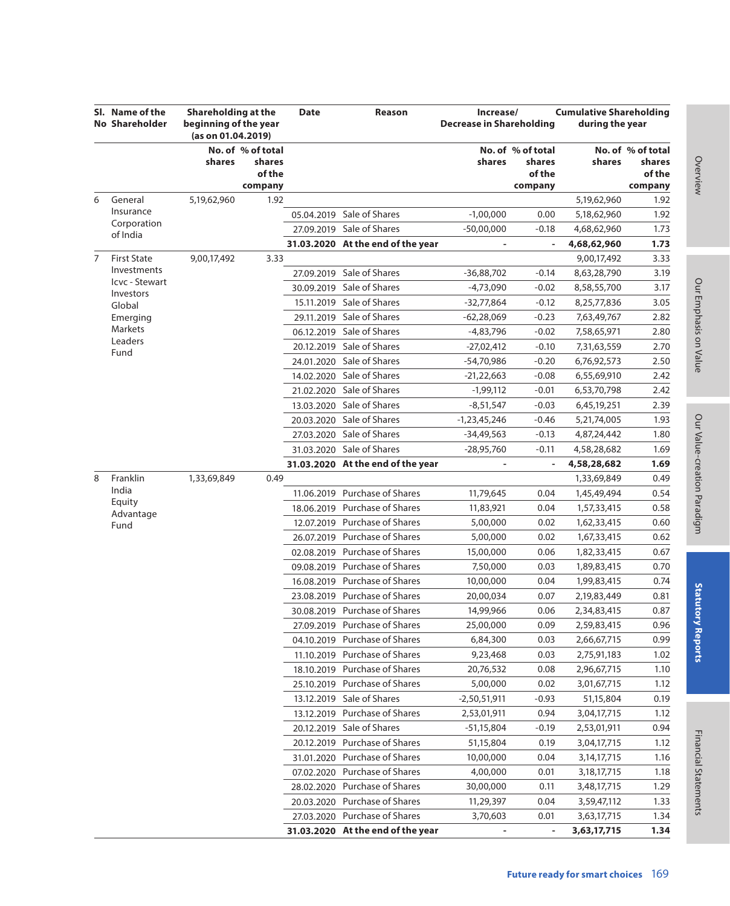|   | SI. Name of the<br><b>No Shareholder</b> | Shareholding at the<br>beginning of the year<br>(as on 01.04.2019) |                             | <b>Date</b><br>Reason |                                   | Increase/<br><b>Decrease in Shareholding</b> |                             | <b>Cumulative Shareholding</b><br>during the year |                             |
|---|------------------------------------------|--------------------------------------------------------------------|-----------------------------|-----------------------|-----------------------------------|----------------------------------------------|-----------------------------|---------------------------------------------------|-----------------------------|
|   |                                          | shares                                                             | No. of % of total<br>shares |                       |                                   | shares                                       | No. of % of total<br>shares | shares                                            | No. of % of total<br>shares |
|   |                                          |                                                                    | of the<br>company           |                       |                                   |                                              | of the<br>company           |                                                   | of the<br>company           |
| 6 | General                                  | 5,19,62,960                                                        | 1.92                        |                       |                                   |                                              |                             | 5,19,62,960                                       | 1.92                        |
|   | Insurance                                |                                                                    |                             |                       | 05.04.2019 Sale of Shares         | $-1,00,000$                                  | 0.00                        | 5,18,62,960                                       | 1.92                        |
|   | Corporation                              |                                                                    |                             |                       | 27.09.2019 Sale of Shares         | $-50,00,000$                                 | $-0.18$                     | 4,68,62,960                                       | 1.73                        |
|   | of India                                 |                                                                    |                             |                       | 31.03.2020 At the end of the year |                                              |                             | 4,68,62,960                                       | 1.73                        |
| 7 | <b>First State</b>                       | 9,00,17,492                                                        | 3.33                        |                       |                                   |                                              |                             | 9,00,17,492                                       | 3.33                        |
|   | Investments                              |                                                                    |                             |                       | 27.09.2019 Sale of Shares         | $-36,88,702$                                 | $-0.14$                     | 8,63,28,790                                       | 3.19                        |
|   | Icvc - Stewart                           |                                                                    |                             |                       | 30.09.2019 Sale of Shares         | $-4,73,090$                                  | $-0.02$                     | 8,58,55,700                                       | 3.17                        |
|   | Investors<br>Global                      |                                                                    |                             | 15.11.2019            | Sale of Shares                    | $-32,77,864$                                 | $-0.12$                     | 8,25,77,836                                       | 3.05                        |
|   | Emerging                                 |                                                                    |                             |                       | 29.11.2019 Sale of Shares         | -62,28,069                                   | $-0.23$                     | 7,63,49,767                                       | 2.82                        |
|   | Markets                                  |                                                                    |                             |                       | 06.12.2019 Sale of Shares         | $-4,83,796$                                  | $-0.02$                     | 7,58,65,971                                       | 2.80                        |
|   | Leaders                                  |                                                                    |                             |                       | 20.12.2019 Sale of Shares         | -27,02,412                                   | $-0.10$                     | 7,31,63,559                                       | 2.70                        |
|   | Fund                                     |                                                                    |                             |                       | 24.01.2020 Sale of Shares         | -54,70,986                                   | $-0.20$                     | 6,76,92,573                                       | 2.50                        |
|   |                                          |                                                                    |                             |                       | 14.02.2020 Sale of Shares         | $-21,22,663$                                 | $-0.08$                     | 6,55,69,910                                       | 2.42                        |
|   |                                          |                                                                    |                             |                       | 21.02.2020 Sale of Shares         | $-1,99,112$                                  | $-0.01$                     | 6,53,70,798                                       | 2.42                        |
|   |                                          |                                                                    |                             |                       | 13.03.2020 Sale of Shares         | $-8,51,547$                                  | $-0.03$                     | 6,45,19,251                                       | 2.39                        |
|   |                                          |                                                                    |                             |                       | 20.03.2020 Sale of Shares         | -1,23,45,246                                 | $-0.46$                     | 5,21,74,005                                       | 1.93                        |
|   |                                          |                                                                    |                             |                       | 27.03.2020 Sale of Shares         | $-34,49,563$                                 | $-0.13$                     | 4,87,24,442                                       | 1.80                        |
|   |                                          |                                                                    |                             |                       | 31.03.2020 Sale of Shares         | $-28,95,760$                                 | $-0.11$                     | 4,58,28,682                                       | 1.69                        |
|   |                                          |                                                                    |                             |                       | 31.03.2020 At the end of the year |                                              |                             | 4,58,28,682                                       | 1.69                        |
| 8 | Franklin                                 | 1,33,69,849                                                        | 0.49                        |                       |                                   |                                              |                             | 1,33,69,849                                       | 0.49                        |
|   | India                                    |                                                                    |                             |                       | 11.06.2019 Purchase of Shares     | 11,79,645                                    | 0.04                        | 1,45,49,494                                       | 0.54                        |
|   | Equity<br>Advantage                      |                                                                    |                             |                       | 18.06.2019 Purchase of Shares     | 11,83,921                                    | 0.04                        | 1,57,33,415                                       | 0.58                        |
|   | Fund                                     |                                                                    |                             |                       | 12.07.2019 Purchase of Shares     | 5,00,000                                     | 0.02                        | 1,62,33,415                                       | 0.60                        |
|   |                                          |                                                                    |                             |                       | 26.07.2019 Purchase of Shares     | 5,00,000                                     | 0.02                        | 1,67,33,415                                       | 0.62                        |
|   |                                          |                                                                    |                             |                       | 02.08.2019 Purchase of Shares     | 15,00,000                                    | 0.06                        | 1,82,33,415                                       | 0.67                        |
|   |                                          |                                                                    |                             |                       | 09.08.2019 Purchase of Shares     | 7,50,000                                     | 0.03                        | 1,89,83,415                                       | 0.70                        |
|   |                                          |                                                                    |                             |                       | 16.08.2019 Purchase of Shares     | 10,00,000                                    | 0.04                        | 1,99,83,415                                       | 0.74                        |
|   |                                          |                                                                    |                             |                       | 23.08.2019 Purchase of Shares     | 20,00,034                                    | 0.07                        | 2,19,83,449                                       | 0.81                        |
|   |                                          |                                                                    |                             |                       | 30.08.2019 Purchase of Shares     | 14,99,966                                    | 0.06                        | 2,34,83,415                                       | 0.87                        |
|   |                                          |                                                                    |                             |                       | 27.09.2019 Purchase of Shares     | 25,00,000                                    | 0.09                        | 2,59,83,415                                       | 0.96                        |
|   |                                          |                                                                    |                             |                       | 04.10.2019 Purchase of Shares     | 6,84,300                                     | 0.03                        | 2,66,67,715                                       | 0.99                        |
|   |                                          |                                                                    |                             |                       | 11.10.2019 Purchase of Shares     | 9,23,468                                     | 0.03                        | 2,75,91,183                                       | 1.02                        |
|   |                                          |                                                                    |                             |                       | 18.10.2019 Purchase of Shares     | 20,76,532                                    | 0.08                        | 2,96,67,715                                       | 1.10                        |
|   |                                          |                                                                    |                             |                       | 25.10.2019 Purchase of Shares     | 5,00,000                                     | 0.02                        | 3,01,67,715                                       | 1.12                        |
|   |                                          |                                                                    |                             |                       | 13.12.2019 Sale of Shares         | -2,50,51,911                                 | $-0.93$                     | 51,15,804                                         | 0.19                        |
|   |                                          |                                                                    |                             |                       | 13.12.2019 Purchase of Shares     | 2,53,01,911                                  | 0.94                        | 3,04,17,715                                       | 1.12                        |
|   |                                          |                                                                    |                             |                       | 20.12.2019 Sale of Shares         | -51,15,804                                   | $-0.19$                     | 2,53,01,911                                       | 0.94                        |
|   |                                          |                                                                    |                             |                       | 20.12.2019 Purchase of Shares     | 51,15,804                                    | 0.19                        | 3,04,17,715                                       | 1.12                        |
|   |                                          |                                                                    |                             |                       | 31.01.2020 Purchase of Shares     | 10,00,000                                    | 0.04                        | 3,14,17,715                                       | 1.16                        |
|   |                                          |                                                                    |                             |                       | 07.02.2020 Purchase of Shares     | 4,00,000                                     | 0.01                        | 3,18,17,715                                       | 1.18                        |
|   |                                          |                                                                    |                             |                       | 28.02.2020 Purchase of Shares     | 30,00,000                                    | 0.11                        | 3,48,17,715                                       | 1.29                        |
|   |                                          |                                                                    |                             |                       | 20.03.2020 Purchase of Shares     | 11,29,397                                    | 0.04                        | 3,59,47,112                                       | 1.33                        |
|   |                                          |                                                                    |                             |                       | 27.03.2020 Purchase of Shares     | 3,70,603                                     | 0.01                        | 3,63,17,715                                       | 1.34                        |
|   |                                          |                                                                    |                             |                       | 31.03.2020 At the end of the year |                                              |                             | 3,63,17,715                                       | 1.34                        |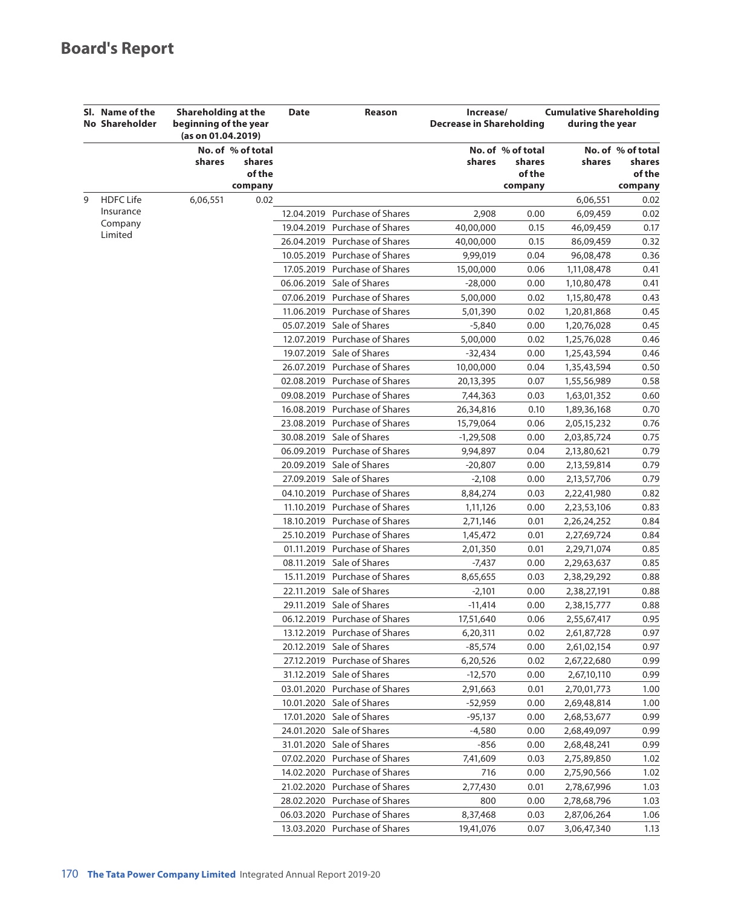|   | SI. Name of the<br>No Shareholder | Shareholding at the<br>beginning of the year |                   | <b>Date</b> | Reason                        | Increase/<br><b>Decrease in Shareholding</b> |                   | <b>Cumulative Shareholding</b><br>during the year |                   |  |
|---|-----------------------------------|----------------------------------------------|-------------------|-------------|-------------------------------|----------------------------------------------|-------------------|---------------------------------------------------|-------------------|--|
|   |                                   | (as on 01.04.2019)                           |                   |             |                               |                                              |                   |                                                   |                   |  |
|   |                                   |                                              | No. of % of total |             |                               |                                              | No. of % of total |                                                   | No. of % of total |  |
|   |                                   | shares                                       | shares<br>of the  |             |                               | shares                                       | shares<br>of the  | shares                                            | shares<br>of the  |  |
|   |                                   |                                              | company           |             |                               |                                              | company           |                                                   | company           |  |
| 9 | <b>HDFC Life</b>                  | 6,06,551                                     | 0.02              |             |                               |                                              |                   | 6,06,551                                          | 0.02              |  |
|   | Insurance                         |                                              |                   |             | 12.04.2019 Purchase of Shares | 2,908                                        | 0.00              | 6,09,459                                          | 0.02              |  |
|   | Company                           |                                              |                   |             | 19.04.2019 Purchase of Shares | 40,00,000                                    | 0.15              | 46,09,459                                         | 0.17              |  |
|   | Limited                           |                                              |                   |             | 26.04.2019 Purchase of Shares | 40,00,000                                    | 0.15              | 86,09,459                                         | 0.32              |  |
|   |                                   |                                              |                   |             | 10.05.2019 Purchase of Shares | 9,99,019                                     | 0.04              | 96,08,478                                         | 0.36              |  |
|   |                                   |                                              |                   |             | 17.05.2019 Purchase of Shares | 15,00,000                                    | 0.06              | 1,11,08,478                                       | 0.41              |  |
|   |                                   |                                              |                   |             | 06.06.2019 Sale of Shares     | -28,000                                      | 0.00              | 1,10,80,478                                       | 0.41              |  |
|   |                                   |                                              |                   |             | 07.06.2019 Purchase of Shares | 5,00,000                                     | 0.02              | 1,15,80,478                                       | 0.43              |  |
|   |                                   |                                              |                   |             | 11.06.2019 Purchase of Shares | 5,01,390                                     | 0.02              | 1,20,81,868                                       | 0.45              |  |
|   |                                   |                                              |                   |             | 05.07.2019 Sale of Shares     | $-5,840$                                     | 0.00              | 1,20,76,028                                       | 0.45              |  |
|   |                                   |                                              |                   |             | 12.07.2019 Purchase of Shares | 5,00,000                                     | 0.02              | 1,25,76,028                                       | 0.46              |  |
|   |                                   |                                              |                   |             | 19.07.2019 Sale of Shares     | $-32,434$                                    | 0.00              | 1,25,43,594                                       | 0.46              |  |
|   |                                   |                                              |                   |             | 26.07.2019 Purchase of Shares | 10,00,000                                    | 0.04              | 1,35,43,594                                       | 0.50              |  |
|   |                                   |                                              |                   |             | 02.08.2019 Purchase of Shares | 20,13,395                                    | 0.07              | 1,55,56,989                                       | 0.58              |  |
|   |                                   |                                              |                   |             | 09.08.2019 Purchase of Shares | 7,44,363                                     | 0.03              | 1,63,01,352                                       | 0.60              |  |
|   |                                   |                                              |                   |             | 16.08.2019 Purchase of Shares | 26,34,816                                    | 0.10              | 1,89,36,168                                       | 0.70              |  |
|   |                                   |                                              |                   |             | 23.08.2019 Purchase of Shares | 15,79,064                                    | 0.06              | 2,05,15,232                                       | 0.76              |  |
|   |                                   |                                              |                   |             | 30.08.2019 Sale of Shares     | $-1,29,508$                                  | 0.00              | 2,03,85,724                                       | 0.75              |  |
|   |                                   |                                              |                   |             | 06.09.2019 Purchase of Shares | 9,94,897                                     | 0.04              | 2,13,80,621                                       | 0.79              |  |
|   |                                   |                                              |                   |             | 20.09.2019 Sale of Shares     | -20,807                                      | 0.00              | 2,13,59,814                                       | 0.79              |  |
|   |                                   |                                              |                   |             | 27.09.2019 Sale of Shares     | $-2,108$                                     | 0.00              | 2,13,57,706                                       | 0.79              |  |
|   |                                   |                                              |                   |             | 04.10.2019 Purchase of Shares | 8,84,274                                     | 0.03              | 2,22,41,980                                       | 0.82              |  |
|   |                                   |                                              |                   |             | 11.10.2019 Purchase of Shares | 1,11,126                                     | 0.00              | 2,23,53,106                                       | 0.83              |  |
|   |                                   |                                              |                   |             | 18.10.2019 Purchase of Shares | 2,71,146                                     | 0.01              | 2,26,24,252                                       | 0.84              |  |
|   |                                   |                                              |                   |             | 25.10.2019 Purchase of Shares | 1,45,472                                     | 0.01              | 2,27,69,724                                       | 0.84              |  |
|   |                                   |                                              |                   |             | 01.11.2019 Purchase of Shares | 2,01,350                                     | 0.01              | 2,29,71,074                                       | 0.85              |  |
|   |                                   |                                              |                   |             | 08.11.2019 Sale of Shares     | $-7,437$                                     | 0.00              | 2,29,63,637                                       | 0.85              |  |
|   |                                   |                                              |                   |             | 15.11.2019 Purchase of Shares | 8,65,655                                     | 0.03              | 2,38,29,292                                       | 0.88              |  |
|   |                                   |                                              |                   |             | 22.11.2019 Sale of Shares     | $-2,101$                                     | 0.00              | 2,38,27,191                                       | 0.88              |  |
|   |                                   |                                              |                   |             | 29.11.2019 Sale of Shares     | $-11,414$                                    | 0.00              | 2,38,15,777                                       | 0.88              |  |
|   |                                   |                                              |                   |             | 06.12.2019 Purchase of Shares | 17,51,640                                    | 0.06              | 2,55,67,417                                       | 0.95              |  |
|   |                                   |                                              |                   |             | 13.12.2019 Purchase of Shares | 6,20,311                                     | 0.02              | 2,61,87,728                                       | 0.97              |  |
|   |                                   |                                              |                   |             | 20.12.2019 Sale of Shares     | $-85,574$                                    | 0.00              | 2,61,02,154                                       | 0.97              |  |
|   |                                   |                                              |                   |             | 27.12.2019 Purchase of Shares | 6,20,526                                     | 0.02              | 2,67,22,680                                       | 0.99              |  |
|   |                                   |                                              |                   |             | 31.12.2019 Sale of Shares     | $-12,570$                                    | 0.00              | 2,67,10,110                                       | 0.99              |  |
|   |                                   |                                              |                   |             | 03.01.2020 Purchase of Shares | 2,91,663                                     | 0.01              | 2,70,01,773                                       | 1.00              |  |
|   |                                   |                                              |                   |             | 10.01.2020 Sale of Shares     | -52,959                                      | 0.00              | 2,69,48,814                                       | 1.00              |  |
|   |                                   |                                              |                   |             | 17.01.2020 Sale of Shares     | -95,137                                      | 0.00              | 2,68,53,677                                       | 0.99              |  |
|   |                                   |                                              |                   |             | 24.01.2020 Sale of Shares     | $-4,580$                                     | 0.00              | 2,68,49,097                                       | 0.99              |  |
|   |                                   |                                              |                   |             | 31.01.2020 Sale of Shares     | $-856$                                       | 0.00              | 2,68,48,241                                       | 0.99              |  |
|   |                                   |                                              |                   |             | 07.02.2020 Purchase of Shares | 7,41,609                                     | 0.03              | 2,75,89,850                                       | 1.02              |  |
|   |                                   |                                              |                   |             | 14.02.2020 Purchase of Shares | 716                                          | 0.00              | 2,75,90,566                                       | 1.02              |  |
|   |                                   |                                              |                   |             | 21.02.2020 Purchase of Shares | 2,77,430                                     | 0.01              | 2,78,67,996                                       | 1.03              |  |
|   |                                   |                                              |                   |             | 28.02.2020 Purchase of Shares | 800                                          | 0.00              | 2,78,68,796                                       | 1.03              |  |
|   |                                   |                                              |                   |             | 06.03.2020 Purchase of Shares | 8,37,468                                     | 0.03              | 2,87,06,264                                       | 1.06              |  |
|   |                                   |                                              |                   |             | 13.03.2020 Purchase of Shares | 19,41,076                                    | 0.07              | 3,06,47,340                                       | 1.13              |  |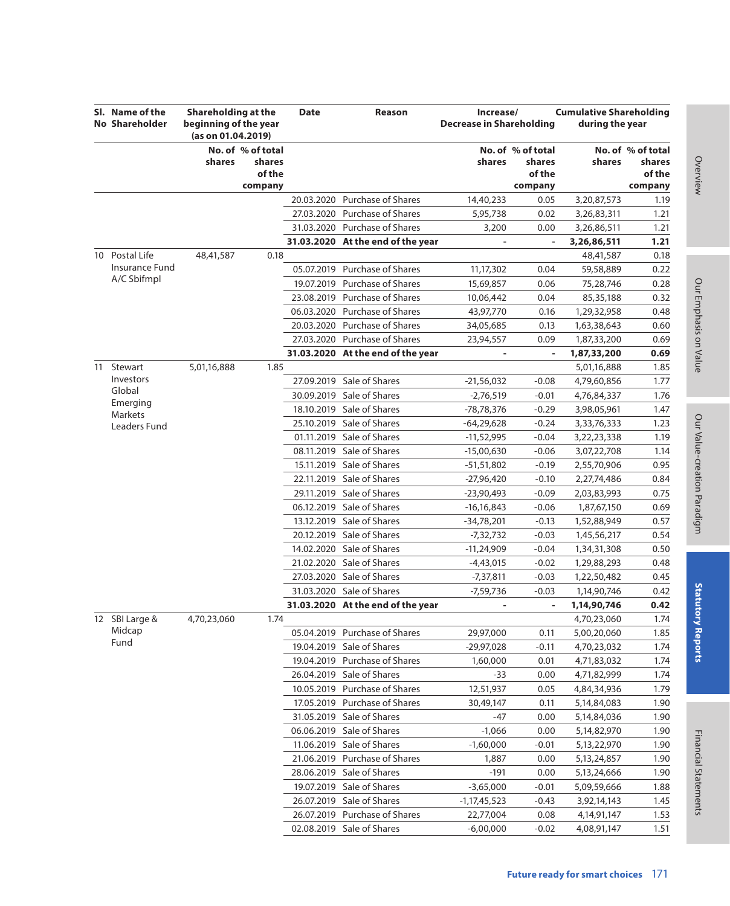|    | SI. Name of the<br>No Shareholder | Shareholding at the<br>beginning of the year<br>(as on 01.04.2019) |                                       | <b>Date</b><br>Reason |                                                                | Increase/<br><b>Decrease in Shareholding</b> |                                       | <b>Cumulative Shareholding</b><br>during the year |                                       |
|----|-----------------------------------|--------------------------------------------------------------------|---------------------------------------|-----------------------|----------------------------------------------------------------|----------------------------------------------|---------------------------------------|---------------------------------------------------|---------------------------------------|
|    |                                   | shares                                                             | No. of % of total<br>shares<br>of the |                       |                                                                | shares                                       | No. of % of total<br>shares<br>of the | shares                                            | No. of % of total<br>shares<br>of the |
|    |                                   |                                                                    | company                               |                       |                                                                |                                              | company                               |                                                   | company                               |
|    |                                   |                                                                    |                                       |                       | 20.03.2020 Purchase of Shares                                  | 14,40,233                                    | 0.05                                  | 3,20,87,573                                       | 1.19                                  |
|    |                                   |                                                                    |                                       |                       | 27.03.2020 Purchase of Shares                                  | 5,95,738                                     | 0.02                                  | 3,26,83,311                                       | 1.21                                  |
|    |                                   |                                                                    |                                       |                       | 31.03.2020 Purchase of Shares                                  | 3,200                                        | 0.00                                  | 3,26,86,511                                       | 1.21                                  |
|    | 10 Postal Life                    |                                                                    |                                       |                       | 31.03.2020 At the end of the year                              |                                              |                                       | 3,26,86,511                                       | 1.21                                  |
|    | Insurance Fund                    | 48,41,587                                                          | 0.18                                  |                       |                                                                |                                              |                                       | 48,41,587                                         | 0.18                                  |
|    | A/C Sbifmpl                       |                                                                    |                                       |                       | 05.07.2019 Purchase of Shares<br>19.07.2019 Purchase of Shares | 11,17,302                                    | 0.04                                  | 59,58,889                                         | 0.22                                  |
|    |                                   |                                                                    |                                       |                       |                                                                | 15,69,857                                    | 0.06                                  | 75,28,746                                         | 0.28                                  |
|    |                                   |                                                                    |                                       |                       | 23.08.2019 Purchase of Shares                                  | 10,06,442                                    | 0.04                                  | 85,35,188                                         | 0.32                                  |
|    |                                   |                                                                    |                                       |                       | 06.03.2020 Purchase of Shares                                  | 43,97,770                                    | 0.16                                  | 1,29,32,958                                       | 0.48                                  |
|    |                                   |                                                                    |                                       |                       | 20.03.2020 Purchase of Shares                                  | 34,05,685                                    | 0.13                                  | 1,63,38,643                                       | 0.60                                  |
|    |                                   |                                                                    |                                       |                       | 27.03.2020 Purchase of Shares                                  | 23,94,557                                    | 0.09<br>ä,                            | 1,87,33,200                                       | 0.69                                  |
|    |                                   |                                                                    |                                       |                       | 31.03.2020 At the end of the year                              |                                              |                                       | 1,87,33,200                                       | 0.69<br>1.85                          |
| 11 | Stewart<br>Investors              | 5,01,16,888                                                        | 1.85                                  |                       |                                                                |                                              |                                       | 5,01,16,888                                       |                                       |
|    | Global                            |                                                                    |                                       |                       | 27.09.2019 Sale of Shares                                      | $-21,56,032$                                 | $-0.08$                               | 4,79,60,856                                       | 1.77                                  |
|    | Emerging                          |                                                                    |                                       | 30.09.2019            | Sale of Shares                                                 | $-2,76,519$                                  | $-0.01$                               | 4,76,84,337                                       | 1.76                                  |
|    | <b>Markets</b>                    |                                                                    |                                       |                       | 18.10.2019 Sale of Shares                                      | -78,78,376                                   | $-0.29$                               | 3,98,05,961                                       | 1.47                                  |
|    | Leaders Fund                      |                                                                    |                                       |                       | 25.10.2019 Sale of Shares                                      | -64,29,628                                   | $-0.24$                               | 3,33,76,333                                       | 1.23                                  |
|    |                                   |                                                                    |                                       |                       | 01.11.2019 Sale of Shares                                      | $-11,52,995$                                 | $-0.04$                               | 3,22,23,338                                       | 1.19                                  |
|    |                                   |                                                                    |                                       |                       | 08.11.2019 Sale of Shares                                      | $-15,00,630$                                 | $-0.06$                               | 3,07,22,708                                       | 1.14                                  |
|    |                                   |                                                                    |                                       |                       | 15.11.2019 Sale of Shares                                      | -51,51,802                                   | $-0.19$                               | 2,55,70,906                                       | 0.95                                  |
|    |                                   |                                                                    |                                       |                       | 22.11.2019 Sale of Shares                                      | -27,96,420                                   | $-0.10$                               | 2,27,74,486                                       | 0.84                                  |
|    |                                   |                                                                    |                                       |                       | 29.11.2019 Sale of Shares                                      | -23,90,493                                   | $-0.09$                               | 2,03,83,993                                       | 0.75                                  |
|    |                                   |                                                                    |                                       |                       | 06.12.2019 Sale of Shares                                      | $-16,16,843$                                 | $-0.06$                               | 1,87,67,150                                       | 0.69                                  |
|    |                                   |                                                                    |                                       |                       | 13.12.2019 Sale of Shares                                      | $-34,78,201$                                 | $-0.13$                               | 1,52,88,949                                       | 0.57                                  |
|    |                                   |                                                                    |                                       |                       | 20.12.2019 Sale of Shares                                      | $-7,32,732$                                  | $-0.03$                               | 1,45,56,217                                       | 0.54                                  |
|    |                                   |                                                                    |                                       |                       | 14.02.2020 Sale of Shares<br>21.02.2020 Sale of Shares         | $-11,24,909$                                 | $-0.04$                               | 1,34,31,308                                       | 0.50                                  |
|    |                                   |                                                                    |                                       |                       |                                                                | $-4,43,015$                                  | $-0.02$                               | 1,29,88,293                                       | 0.48                                  |
|    |                                   |                                                                    |                                       |                       | 27.03.2020 Sale of Shares                                      | -7,37,811                                    | $-0.03$                               | 1,22,50,482                                       | 0.45                                  |
|    |                                   |                                                                    |                                       |                       | 31.03.2020 Sale of Shares                                      | -7,59,736                                    | $-0.03$                               | 1,14,90,746                                       | 0.42                                  |
|    |                                   |                                                                    |                                       |                       | 31.03.2020 At the end of the year                              |                                              | ä,                                    | 1,14,90,746                                       | 0.42                                  |
|    | 12 SBI Large &<br>Midcap          | 4,70,23,060                                                        | 1.74                                  |                       | 05.04.2019 Purchase of Shares                                  |                                              |                                       | 4,70,23,060                                       | 1.74<br>1.85                          |
|    | Fund                              |                                                                    |                                       |                       |                                                                | 29,97,000                                    | 0.11                                  | 5,00,20,060                                       |                                       |
|    |                                   |                                                                    |                                       |                       | 19.04.2019 Sale of Shares                                      | -29,97,028                                   | $-0.11$                               | 4,70,23,032                                       | 1.74                                  |
|    |                                   |                                                                    |                                       |                       | 19.04.2019 Purchase of Shares<br>26.04.2019 Sale of Shares     | 1,60,000                                     | 0.01                                  | 4,71,83,032                                       | 1.74                                  |
|    |                                   |                                                                    |                                       |                       |                                                                | $-33$                                        | 0.00                                  | 4,71,82,999                                       | 1.74                                  |
|    |                                   |                                                                    |                                       |                       | 10.05.2019 Purchase of Shares                                  | 12,51,937                                    | 0.05                                  | 4,84,34,936                                       | 1.79                                  |
|    |                                   |                                                                    |                                       |                       | 17.05.2019 Purchase of Shares                                  | 30,49,147                                    | 0.11                                  | 5,14,84,083                                       | 1.90                                  |
|    |                                   |                                                                    |                                       |                       | 31.05.2019 Sale of Shares                                      | -47                                          | 0.00                                  | 5,14,84,036                                       | 1.90                                  |
|    |                                   |                                                                    |                                       |                       | 06.06.2019 Sale of Shares                                      | $-1,066$                                     | 0.00                                  | 5,14,82,970                                       | 1.90                                  |
|    |                                   |                                                                    |                                       |                       | 11.06.2019 Sale of Shares                                      | $-1,60,000$                                  | $-0.01$                               | 5, 13, 22, 970                                    | 1.90                                  |
|    |                                   |                                                                    |                                       |                       | 21.06.2019 Purchase of Shares                                  | 1,887                                        | 0.00                                  | 5, 13, 24, 857                                    | 1.90                                  |
|    |                                   |                                                                    |                                       |                       | 28.06.2019 Sale of Shares                                      | $-191$                                       | 0.00                                  | 5, 13, 24, 666                                    | 1.90                                  |
|    |                                   |                                                                    |                                       |                       | 19.07.2019 Sale of Shares                                      | $-3,65,000$                                  | $-0.01$                               | 5,09,59,666                                       | 1.88                                  |
|    |                                   |                                                                    |                                       |                       | 26.07.2019 Sale of Shares                                      | $-1,17,45,523$                               | $-0.43$                               | 3,92,14,143                                       | 1.45                                  |
|    |                                   |                                                                    |                                       |                       | 26.07.2019 Purchase of Shares                                  | 22,77,004                                    | 0.08                                  | 4, 14, 91, 147                                    | 1.53                                  |
|    |                                   |                                                                    |                                       |                       | 02.08.2019 Sale of Shares                                      | $-6,00,000$                                  | $-0.02$                               | 4,08,91,147                                       | 1.51                                  |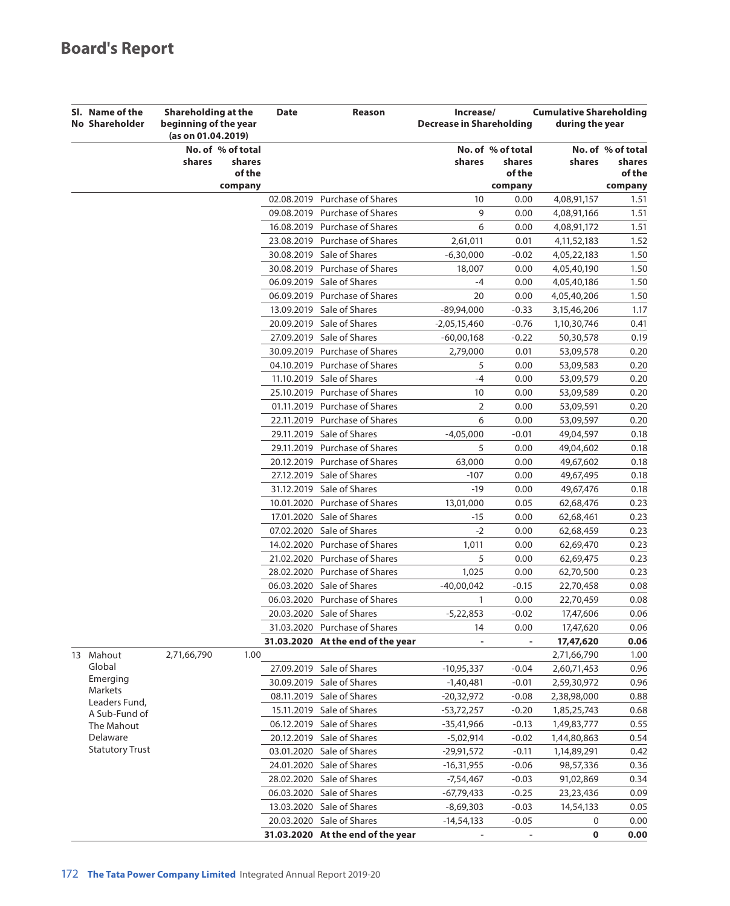| SI. Name of the<br>Shareholding at the<br>No Shareholder<br>beginning of the year<br>(as on 01.04.2019) |                                                            | <b>Date</b> | Reason                            | Increase/<br><b>Decrease in Shareholding</b> |                                                  | <b>Cumulative Shareholding</b><br>during the year |                                                  |
|---------------------------------------------------------------------------------------------------------|------------------------------------------------------------|-------------|-----------------------------------|----------------------------------------------|--------------------------------------------------|---------------------------------------------------|--------------------------------------------------|
|                                                                                                         | No. of % of total<br>shares<br>shares<br>of the<br>company |             |                                   | shares                                       | No. of % of total<br>shares<br>of the<br>company | shares                                            | No. of % of total<br>shares<br>of the<br>company |
|                                                                                                         |                                                            |             | 02.08.2019 Purchase of Shares     | 10                                           | 0.00                                             | 4,08,91,157                                       | 1.51                                             |
|                                                                                                         |                                                            |             | 09.08.2019 Purchase of Shares     | 9                                            | 0.00                                             | 4,08,91,166                                       | 1.51                                             |
|                                                                                                         |                                                            |             | 16.08.2019 Purchase of Shares     | 6                                            | 0.00                                             | 4,08,91,172                                       | 1.51                                             |
|                                                                                                         |                                                            |             | 23.08.2019 Purchase of Shares     | 2,61,011                                     | 0.01                                             | 4, 11, 52, 183                                    | 1.52                                             |
|                                                                                                         |                                                            |             | 30.08.2019 Sale of Shares         | $-6,30,000$                                  | $-0.02$                                          | 4,05,22,183                                       | 1.50                                             |
|                                                                                                         |                                                            |             | 30.08.2019 Purchase of Shares     | 18,007                                       | 0.00                                             | 4,05,40,190                                       | 1.50                                             |
|                                                                                                         |                                                            |             | 06.09.2019 Sale of Shares         | $-4$                                         | 0.00                                             | 4,05,40,186                                       | 1.50                                             |
|                                                                                                         |                                                            |             | 06.09.2019 Purchase of Shares     | 20                                           | 0.00                                             | 4,05,40,206                                       | 1.50                                             |
|                                                                                                         |                                                            |             | 13.09.2019 Sale of Shares         | $-89,94,000$                                 | $-0.33$                                          | 3,15,46,206                                       | 1.17                                             |
|                                                                                                         |                                                            |             | 20.09.2019 Sale of Shares         | $-2,05,15,460$                               | $-0.76$                                          | 1,10,30,746                                       | 0.41                                             |
|                                                                                                         |                                                            |             | 27.09.2019 Sale of Shares         | $-60,00,168$                                 | $-0.22$                                          | 50,30,578                                         | 0.19                                             |
|                                                                                                         |                                                            |             | 30.09.2019 Purchase of Shares     | 2,79,000                                     | 0.01                                             | 53,09,578                                         | 0.20                                             |
|                                                                                                         |                                                            |             | 04.10.2019 Purchase of Shares     | 5                                            | 0.00                                             | 53,09,583                                         | 0.20                                             |
|                                                                                                         |                                                            |             | 11.10.2019 Sale of Shares         | $-4$                                         | 0.00                                             | 53,09,579                                         | 0.20                                             |
|                                                                                                         |                                                            |             | 25.10.2019 Purchase of Shares     | 10                                           | 0.00                                             | 53,09,589                                         | 0.20                                             |
|                                                                                                         |                                                            |             | 01.11.2019 Purchase of Shares     | 2                                            | 0.00                                             | 53,09,591                                         | 0.20                                             |
|                                                                                                         |                                                            |             | 22.11.2019 Purchase of Shares     | 6                                            | 0.00                                             | 53,09,597                                         | 0.20                                             |
|                                                                                                         |                                                            |             | 29.11.2019 Sale of Shares         | $-4,05,000$                                  | $-0.01$                                          | 49,04,597                                         | 0.18                                             |
|                                                                                                         |                                                            |             | 29.11.2019 Purchase of Shares     | 5                                            | 0.00                                             | 49,04,602                                         | 0.18                                             |
|                                                                                                         |                                                            |             | 20.12.2019 Purchase of Shares     | 63,000                                       | 0.00                                             | 49,67,602                                         | 0.18                                             |
|                                                                                                         |                                                            |             | 27.12.2019 Sale of Shares         | $-107$                                       | 0.00                                             | 49,67,495                                         | 0.18                                             |
|                                                                                                         |                                                            |             | 31.12.2019 Sale of Shares         | $-19$                                        | 0.00                                             | 49,67,476                                         | 0.18                                             |
|                                                                                                         |                                                            |             | 10.01.2020 Purchase of Shares     | 13,01,000                                    | 0.05                                             | 62,68,476                                         | 0.23                                             |
|                                                                                                         |                                                            |             | 17.01.2020 Sale of Shares         | -15                                          | 0.00                                             | 62,68,461                                         | 0.23                                             |
|                                                                                                         |                                                            |             | 07.02.2020 Sale of Shares         | $-2$                                         | 0.00                                             | 62,68,459                                         | 0.23                                             |
|                                                                                                         |                                                            |             | 14.02.2020 Purchase of Shares     | 1,011                                        | 0.00                                             | 62,69,470                                         | 0.23                                             |
|                                                                                                         |                                                            |             | 21.02.2020 Purchase of Shares     | 5                                            | 0.00                                             | 62,69,475                                         | 0.23                                             |
|                                                                                                         |                                                            |             | 28.02.2020 Purchase of Shares     | 1,025                                        | 0.00                                             | 62,70,500                                         | 0.23                                             |
|                                                                                                         |                                                            |             | 06.03.2020 Sale of Shares         | $-40,00,042$                                 | $-0.15$                                          | 22,70,458                                         | 0.08                                             |
|                                                                                                         |                                                            |             | 06.03.2020 Purchase of Shares     | 1                                            | 0.00                                             | 22,70,459                                         | 0.08                                             |
|                                                                                                         |                                                            |             | 20.03.2020 Sale of Shares         | $-5,22,853$                                  | $-0.02$                                          | 17,47,606                                         | 0.06                                             |
|                                                                                                         |                                                            |             | 31.03.2020 Purchase of Shares     | 14                                           | 0.00                                             | 17,47,620                                         | 0.06                                             |
|                                                                                                         |                                                            |             | 31.03.2020 At the end of the year |                                              |                                                  | 17,47,620                                         | 0.06                                             |
| 13 Mahout                                                                                               | 2,71,66,790<br>1.00                                        |             |                                   |                                              |                                                  | 2,71,66,790                                       | 1.00                                             |
| Global                                                                                                  |                                                            |             | 27.09.2019 Sale of Shares         | $-10,95,337$                                 | $-0.04$                                          | 2,60,71,453                                       | 0.96                                             |
| Emerging                                                                                                |                                                            |             | 30.09.2019 Sale of Shares         | $-1,40,481$                                  | $-0.01$                                          | 2,59,30,972                                       | 0.96                                             |
| <b>Markets</b>                                                                                          |                                                            |             | 08.11.2019 Sale of Shares         | $-20,32,972$                                 | $-0.08$                                          | 2,38,98,000                                       | 0.88                                             |
| Leaders Fund,                                                                                           |                                                            |             | 15.11.2019 Sale of Shares         | -53,72,257                                   | $-0.20$                                          | 1,85,25,743                                       | 0.68                                             |
| A Sub-Fund of<br>The Mahout                                                                             |                                                            |             | 06.12.2019 Sale of Shares         | $-35,41,966$                                 | $-0.13$                                          | 1,49,83,777                                       | 0.55                                             |
| Delaware                                                                                                |                                                            |             | 20.12.2019 Sale of Shares         | -5,02,914                                    | $-0.02$                                          | 1,44,80,863                                       | 0.54                                             |
| <b>Statutory Trust</b>                                                                                  |                                                            |             | 03.01.2020 Sale of Shares         | $-29,91,572$                                 | $-0.11$                                          | 1,14,89,291                                       | 0.42                                             |
|                                                                                                         |                                                            |             | 24.01.2020 Sale of Shares         | $-16,31,955$                                 | $-0.06$                                          | 98,57,336                                         | 0.36                                             |
|                                                                                                         |                                                            |             | 28.02.2020 Sale of Shares         | $-7,54,467$                                  | $-0.03$                                          | 91,02,869                                         | 0.34                                             |
|                                                                                                         |                                                            |             | 06.03.2020 Sale of Shares         | $-67,79,433$                                 | $-0.25$                                          | 23,23,436                                         | 0.09                                             |
|                                                                                                         |                                                            |             | 13.03.2020 Sale of Shares         | $-8,69,303$                                  | $-0.03$                                          | 14,54,133                                         | 0.05                                             |
|                                                                                                         |                                                            |             | 20.03.2020 Sale of Shares         | $-14,54,133$                                 | $-0.05$                                          | 0                                                 | 0.00                                             |
|                                                                                                         |                                                            |             | 31.03.2020 At the end of the year | $\overline{\phantom{a}}$                     | ä,                                               | 0                                                 | 0.00                                             |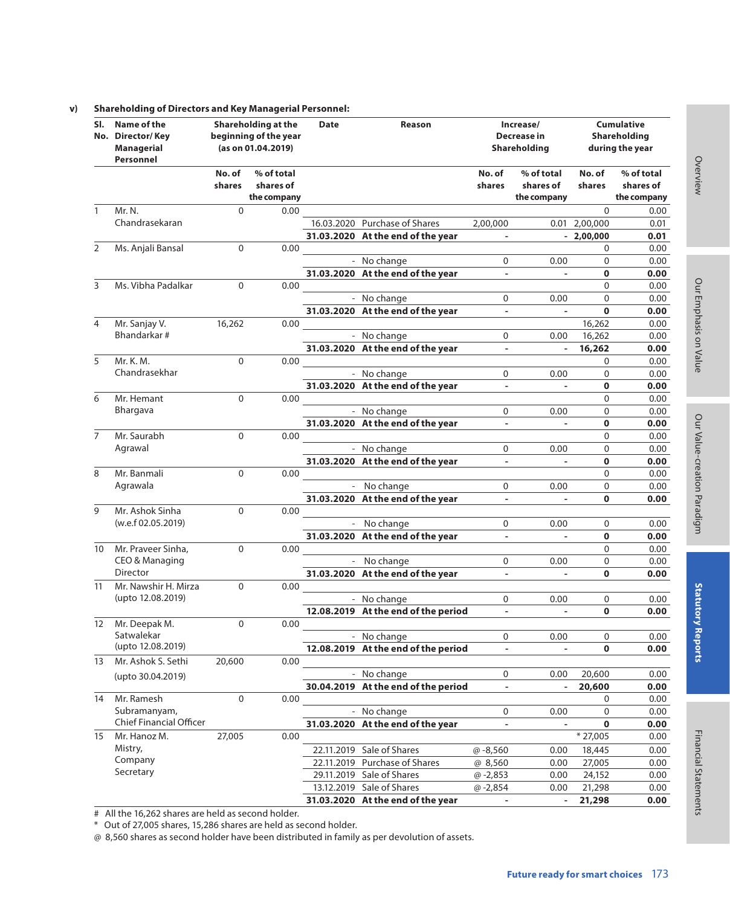| SI.               | Name of the<br>No. Director/Key<br><b>Managerial</b><br>Personnel |             | Shareholding at the<br>beginning of the year<br>(as on 01.04.2019) | <b>Date</b> | Reason                              |                             | Increase/<br>Decrease in<br>Shareholding | <b>Cumulative</b><br>Shareholding<br>during the year |             |
|-------------------|-------------------------------------------------------------------|-------------|--------------------------------------------------------------------|-------------|-------------------------------------|-----------------------------|------------------------------------------|------------------------------------------------------|-------------|
|                   |                                                                   | No. of      | % of total                                                         |             |                                     | No. of                      | % of total                               | No. of                                               | % of total  |
|                   |                                                                   | shares      | shares of                                                          |             |                                     | shares                      | shares of                                | shares                                               | shares of   |
|                   |                                                                   |             | the company                                                        |             |                                     |                             | the company                              |                                                      | the company |
| $\mathbf{1}$      | Mr. N.                                                            | $\Omega$    | 0.00                                                               |             |                                     |                             |                                          | $\Omega$                                             | 0.00        |
|                   | Chandrasekaran                                                    |             |                                                                    |             | 16.03.2020 Purchase of Shares       | 2,00,000                    |                                          | 0.01 2,00,000                                        | 0.01        |
|                   |                                                                   |             |                                                                    |             | 31.03.2020 At the end of the year   | $\mathcal{L}$               |                                          | $-2,00,000$                                          | 0.01        |
| 2                 | Ms. Anjali Bansal                                                 | $\Omega$    | 0.00                                                               |             |                                     |                             |                                          | $\Omega$                                             | 0.00        |
|                   |                                                                   |             |                                                                    |             | - No change                         | $\Omega$                    | 0.00                                     | $\Omega$                                             | 0.00        |
|                   |                                                                   |             |                                                                    |             | 31.03.2020 At the end of the year   | $\blacksquare$              | $\blacksquare$                           | 0                                                    | 0.00        |
| 3                 | Ms. Vibha Padalkar                                                | $\Omega$    | 0.00                                                               |             |                                     |                             |                                          | $\Omega$                                             | 0.00        |
|                   |                                                                   |             |                                                                    |             | - No change                         | $\Omega$                    | 0.00                                     | $\Omega$                                             | 0.00        |
|                   |                                                                   |             |                                                                    |             | 31.03.2020 At the end of the year   | $\overline{\phantom{a}}$    | $\sim$                                   | $\mathbf 0$                                          | 0.00        |
| 4                 | Mr. Sanjay V.                                                     | 16,262      | 0.00                                                               |             |                                     |                             |                                          | 16,262                                               | 0.00        |
|                   | Bhandarkar#                                                       |             |                                                                    |             | - No change                         | 0                           | 0.00                                     | 16,262                                               | 0.00        |
|                   |                                                                   |             |                                                                    |             | 31.03.2020 At the end of the year   | $\mathcal{L}_{\mathcal{A}}$ | $\sim$                                   | 16,262                                               | 0.00        |
| 5                 | Mr. K. M.                                                         | $\Omega$    | 0.00                                                               |             |                                     |                             |                                          | 0                                                    | 0.00        |
|                   | Chandrasekhar                                                     |             |                                                                    |             | - No change                         | 0                           | 0.00                                     | $\mathbf 0$                                          | 0.00        |
|                   |                                                                   |             |                                                                    |             | 31.03.2020 At the end of the year   | ä,                          | ÷.                                       | $\mathbf 0$                                          | 0.00        |
| 6                 | Mr. Hemant                                                        | $\mathbf 0$ | 0.00                                                               |             |                                     |                             |                                          | $\Omega$                                             | 0.00        |
|                   | Bhargava                                                          |             |                                                                    |             | - No change                         | 0                           | 0.00                                     | 0                                                    | 0.00        |
|                   |                                                                   |             |                                                                    |             | 31.03.2020 At the end of the year   | $\mathbf{r}$                | $\mathbf{r}$                             | $\mathbf 0$                                          | 0.00        |
| $\overline{7}$    | Mr. Saurabh                                                       | $\Omega$    | 0.00                                                               |             |                                     |                             |                                          | $\Omega$                                             | 0.00        |
|                   | Agrawal                                                           |             |                                                                    |             | - No change                         | $\Omega$                    | 0.00                                     | $\Omega$                                             | 0.00        |
|                   |                                                                   |             |                                                                    |             | 31.03.2020 At the end of the year   |                             |                                          | $\mathbf 0$                                          | 0.00        |
| 8                 | Mr. Banmali                                                       | $\Omega$    | 0.00                                                               |             |                                     |                             |                                          | $\Omega$                                             | 0.00        |
|                   | Agrawala                                                          |             |                                                                    |             | - No change                         | 0                           | 0.00                                     | 0                                                    | 0.00        |
|                   |                                                                   |             |                                                                    |             | 31.03.2020 At the end of the year   | $\mathcal{L}^{\mathcal{A}}$ | $\blacksquare$                           | $\mathbf 0$                                          | 0.00        |
| 9                 | Mr. Ashok Sinha                                                   | $\Omega$    | 0.00                                                               |             |                                     |                             |                                          |                                                      |             |
|                   | (w.e.f 02.05.2019)                                                |             |                                                                    |             | - No change                         | 0                           | 0.00                                     | $\Omega$                                             | 0.00        |
|                   |                                                                   |             |                                                                    |             | 31.03.2020 At the end of the year   | $\mathcal{L}^{\mathcal{A}}$ | $\blacksquare$                           | $\mathbf 0$                                          | 0.00        |
| 10                | Mr. Praveer Sinha,                                                | $\Omega$    | 0.00                                                               |             |                                     |                             |                                          | $\Omega$                                             | 0.00        |
|                   | CEO & Managing                                                    |             |                                                                    |             | - No change                         | 0                           | 0.00                                     | $\Omega$                                             | 0.00        |
|                   | <b>Director</b>                                                   |             |                                                                    |             | 31.03.2020 At the end of the year   | $\mathcal{L}^{\mathcal{A}}$ | $\omega$                                 | $\mathbf 0$                                          | 0.00        |
| 11                | Mr. Nawshir H. Mirza                                              | $\Omega$    | 0.00                                                               |             |                                     |                             |                                          |                                                      |             |
|                   | (upto 12.08.2019)                                                 |             |                                                                    |             | - No change                         | 0                           | 0.00                                     | 0                                                    | 0.00        |
|                   |                                                                   |             |                                                                    |             | 12.08.2019 At the end of the period | ÷.                          | $\mathbf{r}$                             | $\mathbf{0}$                                         | 0.00        |
| $12 \overline{ }$ | Mr. Deepak M.                                                     | $\Omega$    | 0.00                                                               |             |                                     |                             |                                          |                                                      |             |
|                   | Satwalekar                                                        |             |                                                                    |             | - No change                         | 0                           | 0.00                                     | 0                                                    | 0.00        |
|                   | (upto 12.08.2019)                                                 |             |                                                                    |             | 12.08.2019 At the end of the period | $\blacksquare$              |                                          | $\mathbf 0$                                          | 0.00        |
| 13                | Mr. Ashok S. Sethi                                                | 20,600      | 0.00                                                               |             |                                     |                             |                                          |                                                      |             |
|                   | (upto 30.04.2019)                                                 |             |                                                                    |             | - No change                         | 0                           | 0.00                                     | 20,600                                               | 0.00        |
|                   |                                                                   |             |                                                                    |             | 30.04.2019 At the end of the period | ÷.                          | $\blacksquare$                           | 20,600                                               | 0.00        |
| 14                | Mr. Ramesh                                                        | 0           | 0.00                                                               |             |                                     |                             |                                          | 0                                                    | 0.00        |
|                   | Subramanyam,                                                      |             |                                                                    |             | No change                           | 0                           | 0.00                                     | 0                                                    | 0.00        |
|                   | <b>Chief Financial Officer</b>                                    |             |                                                                    |             | 31.03.2020 At the end of the year   | $\blacksquare$              | ä,                                       | 0                                                    | 0.00        |
| 15                | Mr. Hanoz M.                                                      | 27,005      | 0.00                                                               |             |                                     |                             |                                          | * 27,005                                             | 0.00        |
|                   | Mistry,                                                           |             |                                                                    |             | 22.11.2019 Sale of Shares           | $@ - 8,560$                 | 0.00                                     | 18,445                                               | 0.00        |
|                   | Company                                                           |             |                                                                    |             | 22.11.2019 Purchase of Shares       | @ 8,560                     | 0.00                                     | 27,005                                               | 0.00        |
|                   | Secretary                                                         |             |                                                                    |             | 29.11.2019 Sale of Shares           | $@ -2,853$                  | 0.00                                     | 24,152                                               | 0.00        |
|                   |                                                                   |             |                                                                    |             | 13.12.2019 Sale of Shares           | $@ -2,854$                  | 0.00                                     | 21,298                                               | 0.00        |
|                   |                                                                   |             |                                                                    |             | 31.03.2020 At the end of the year   |                             | ۰                                        | 21,298                                               | 0.00        |

#### **v) Shareholding of Directors and Key Managerial Personnel:**

# All the 16,262 shares are held as second holder.

\* Out of 27,005 shares, 15,286 shares are held as second holder.

@ 8,560 shares as second holder have been distributed in family as per devolution of assets.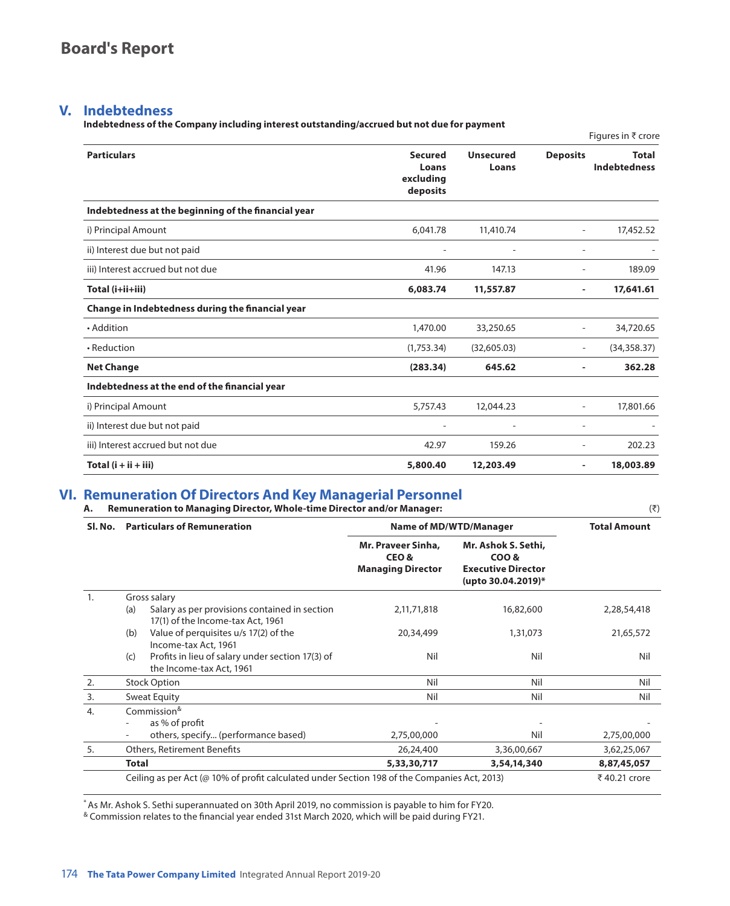#### **V. Indebtedness**

**Indebtedness of the Company including interest outstanding/accrued but not due for payment**

|                                                     |                                                  |                           |                          | Figures in ₹ crore                  |
|-----------------------------------------------------|--------------------------------------------------|---------------------------|--------------------------|-------------------------------------|
| <b>Particulars</b>                                  | <b>Secured</b><br>Loans<br>excluding<br>deposits | <b>Unsecured</b><br>Loans | <b>Deposits</b>          | <b>Total</b><br><b>Indebtedness</b> |
| Indebtedness at the beginning of the financial year |                                                  |                           |                          |                                     |
| i) Principal Amount                                 | 6,041.78                                         | 11,410.74                 | $\overline{\phantom{0}}$ | 17,452.52                           |
| ii) Interest due but not paid                       |                                                  |                           | ۰                        |                                     |
| iii) Interest accrued but not due                   | 41.96                                            | 147.13                    | $\overline{a}$           | 189.09                              |
| Total (i+ii+iii)                                    | 6,083.74                                         | 11,557.87                 | ۰                        | 17,641.61                           |
| Change in Indebtedness during the financial year    |                                                  |                           |                          |                                     |
| • Addition                                          | 1,470.00                                         | 33,250.65                 | $\overline{\phantom{0}}$ | 34,720.65                           |
| • Reduction                                         | (1,753.34)                                       | (32,605.03)               | ٠                        | (34, 358.37)                        |
| <b>Net Change</b>                                   | (283.34)                                         | 645.62                    | ٠                        | 362.28                              |
| Indebtedness at the end of the financial year       |                                                  |                           |                          |                                     |
| i) Principal Amount                                 | 5,757.43                                         | 12,044.23                 | $\overline{\phantom{a}}$ | 17,801.66                           |
| ii) Interest due but not paid                       |                                                  |                           | $\overline{a}$           |                                     |
| iii) Interest accrued but not due                   | 42.97                                            | 159.26                    | $\overline{a}$           | 202.23                              |
| Total $(i + ii + iii)$                              | 5,800.40                                         | 12,203.49                 | ٠                        | 18,003.89                           |

### **VI. Remuneration Of Directors And Key Managerial Personnel**

**A. Remuneration to Managing Director, Whole-time Director and/or Manager:** (₹)

| SI. No. | <b>Particulars of Remuneration</b>                                                           | <b>Name of MD/WTD/Manager</b>                          | <b>Total Amount</b>                                                             |             |
|---------|----------------------------------------------------------------------------------------------|--------------------------------------------------------|---------------------------------------------------------------------------------|-------------|
|         |                                                                                              | Mr. Praveer Sinha,<br>CEO&<br><b>Managing Director</b> | Mr. Ashok S. Sethi,<br>COO &<br><b>Executive Director</b><br>(upto 30.04.2019)* |             |
| 1.      | Gross salary                                                                                 |                                                        |                                                                                 |             |
|         | Salary as per provisions contained in section<br>(a)<br>17(1) of the Income-tax Act, 1961    | 2,11,71,818                                            | 16,82,600                                                                       | 2,28,54,418 |
|         | Value of perquisites u/s 17(2) of the<br>(b)<br>Income-tax Act, 1961                         | 20,34,499                                              | 1,31,073                                                                        | 21,65,572   |
|         | Profits in lieu of salary under section 17(3) of<br>(c)<br>the Income-tax Act, 1961          | Nil                                                    | Nil                                                                             | Nil         |
| 2.      | <b>Stock Option</b>                                                                          | Nil                                                    | Nil                                                                             | Nil         |
| 3.      | <b>Sweat Equity</b>                                                                          | Nil                                                    | Nil                                                                             | Nil         |
| 4.      | Commission <sup>&amp;</sup>                                                                  |                                                        |                                                                                 |             |
|         | as % of profit                                                                               |                                                        |                                                                                 |             |
|         | others, specify (performance based)                                                          | 2,75,00,000                                            | Nil                                                                             | 2,75,00,000 |
| 5.      | Others, Retirement Benefits                                                                  | 26,24,400                                              | 3,36,00,667                                                                     | 3,62,25,067 |
|         | <b>Total</b>                                                                                 | 5,33,30,717                                            | 3,54,14,340                                                                     | 8,87,45,057 |
|         | Ceiling as per Act (@ 10% of profit calculated under Section 198 of the Companies Act, 2013) | ₹40.21 crore                                           |                                                                                 |             |

\* As Mr. Ashok S. Sethi superannuated on 30th April 2019, no commission is payable to him for FY20.

& Commission relates to the financial year ended 31st March 2020, which will be paid during FY21.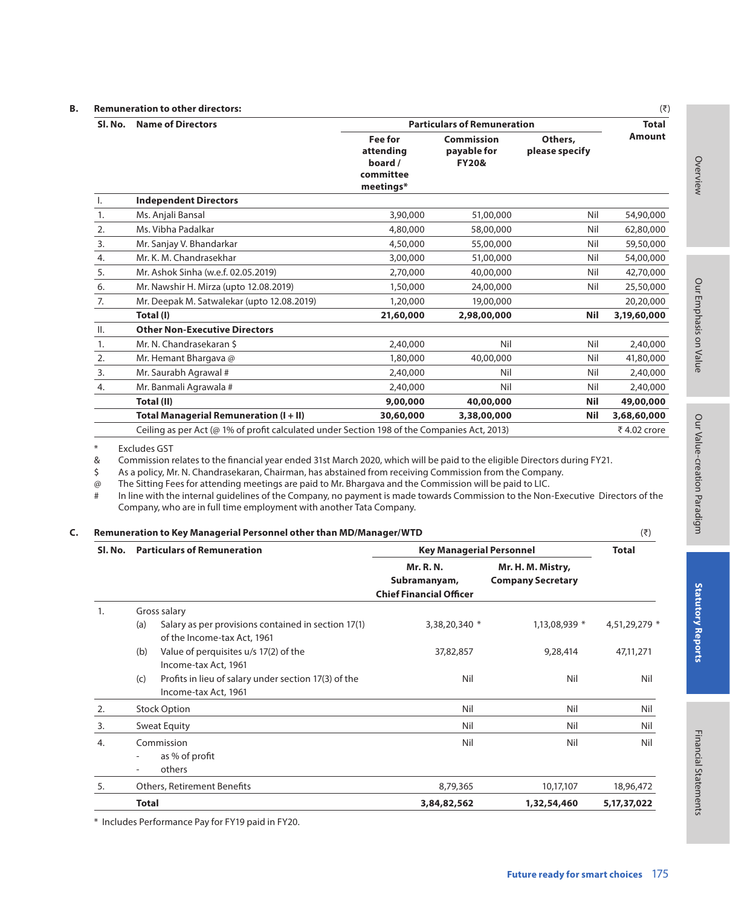#### **B. Remuneration to other directors:** (₹)

| SI. No.        | <b>Name of Directors</b>                                                                    | <b>Particulars of Remuneration</b>                               | <b>Total</b>                                  |                           |             |
|----------------|---------------------------------------------------------------------------------------------|------------------------------------------------------------------|-----------------------------------------------|---------------------------|-------------|
|                |                                                                                             | <b>Fee for</b><br>attending<br>board /<br>committee<br>meetings* | Commission<br>payable for<br><b>FY20&amp;</b> | Others,<br>please specify | Amount      |
| I.             | <b>Independent Directors</b>                                                                |                                                                  |                                               |                           |             |
| 1.             | Ms. Anjali Bansal                                                                           | 3,90,000                                                         | 51,00,000                                     | Nil                       | 54,90,000   |
| 2.             | Ms. Vibha Padalkar                                                                          | 4,80,000                                                         | 58,00,000                                     | Nil                       | 62,80,000   |
| 3.             | Mr. Sanjay V. Bhandarkar                                                                    | 4,50,000                                                         | 55,00,000                                     | Nil                       | 59,50,000   |
| 4.             | Mr. K. M. Chandrasekhar                                                                     | 3,00,000                                                         | 51,00,000                                     | Nil                       | 54,00,000   |
| 5.             | Mr. Ashok Sinha (w.e.f. 02.05.2019)                                                         | 2,70,000                                                         | 40,00,000                                     | Nil                       | 42,70,000   |
| 6.             | Mr. Nawshir H. Mirza (upto 12.08.2019)                                                      | 1,50,000                                                         | 24,00,000                                     | Nil                       | 25,50,000   |
| 7.             | Mr. Deepak M. Satwalekar (upto 12.08.2019)                                                  | 1,20,000                                                         | 19,00,000                                     |                           | 20,20,000   |
|                | Total (I)                                                                                   | 21,60,000                                                        | 2,98,00,000                                   | <b>Nil</b>                | 3,19,60,000 |
| $\mathbb{I}$ . | <b>Other Non-Executive Directors</b>                                                        |                                                                  |                                               |                           |             |
| 1.             | Mr. N. Chandrasekaran \$                                                                    | 2,40,000                                                         | Nil                                           | Nil                       | 2,40,000    |
| 2.             | Mr. Hemant Bhargava@                                                                        | 1,80,000                                                         | 40,00,000                                     | Nil                       | 41,80,000   |
| 3.             | Mr. Saurabh Agrawal #                                                                       | 2,40,000                                                         | Nil                                           | Nil                       | 2,40,000    |
| 4.             | Mr. Banmali Agrawala #                                                                      | 2,40,000                                                         | Nil                                           | Nil                       | 2,40,000    |
|                | Total (II)                                                                                  | 9,00,000                                                         | 40,00,000                                     | <b>Nil</b>                | 49,00,000   |
|                | <b>Total Managerial Remuneration (I + II)</b>                                               | 30,60,000                                                        | 3,38,00,000                                   | Nil                       | 3,68,60,000 |
|                | Ceiling as per Act (@ 1% of profit calculated under Section 198 of the Companies Act, 2013) |                                                                  |                                               |                           | ₹4.02 crore |

\* Excludes GST & Commission relates to the financial year ended 31st March 2020, which will be paid to the eligible Directors during FY21.<br>
\$ As a policy, Mr. N. Chandrasekaran, Chairman, has abstained from receiving Commission from the

\$ As a policy, Mr. N. Chandrasekaran, Chairman, has abstained from receiving Commission from the Company.<br>
The Sitting Fees for attending meetings are paid to Mr. Bhargava and the Commission will be paid to LIC.

The Sitting Fees for attending meetings are paid to Mr. Bhargava and the Commission will be paid to LIC.

# In line with the internal guidelines of the Company, no payment is made towards Commission to the Non-Executive Directors of the Company, who are in full time employment with another Tata Company.

#### **C. Remuneration to Key Managerial Personnel other than MD/Manager/WTD** (₹)

|    | SI. No. Particulars of Remuneration                                     |                                                                                    | <b>Key Managerial Personnel</b>                             | <b>Total</b>                                  |               |  |
|----|-------------------------------------------------------------------------|------------------------------------------------------------------------------------|-------------------------------------------------------------|-----------------------------------------------|---------------|--|
|    |                                                                         |                                                                                    | Mr. R. N.<br>Subramanyam,<br><b>Chief Financial Officer</b> | Mr. H. M. Mistry,<br><b>Company Secretary</b> |               |  |
| 1. | Gross salary                                                            |                                                                                    |                                                             |                                               |               |  |
|    | (a)                                                                     | Salary as per provisions contained in section 17(1)<br>of the Income-tax Act, 1961 | 3,38,20,340 *                                               | 1,13,08,939 *                                 | 4,51,29,279 * |  |
|    | (b)                                                                     | Value of perquisites u/s 17(2) of the<br>Income-tax Act, 1961                      | 37,82,857                                                   | 9,28,414                                      | 47,11,271     |  |
|    | (c)                                                                     | Profits in lieu of salary under section 17(3) of the<br>Income-tax Act, 1961       | Nil                                                         | Nil                                           | Nil           |  |
| 2. | <b>Stock Option</b>                                                     |                                                                                    | Nil                                                         | Nil                                           | Nil           |  |
| 3. | <b>Sweat Equity</b>                                                     |                                                                                    | Nil                                                         | Nil                                           | Nil           |  |
| 4. | Commission<br>as % of profit<br>۰<br>others<br>$\overline{\phantom{a}}$ |                                                                                    | Nil                                                         | Nil                                           | Nil           |  |
| 5. |                                                                         | Others, Retirement Benefits                                                        | 8,79,365                                                    | 10,17,107                                     | 18,96,472     |  |
|    | <b>Total</b>                                                            |                                                                                    | 3,84,82,562                                                 | 1,32,54,460                                   | 5,17,37,022   |  |

\* Includes Performance Pay for FY19 paid in FY20.